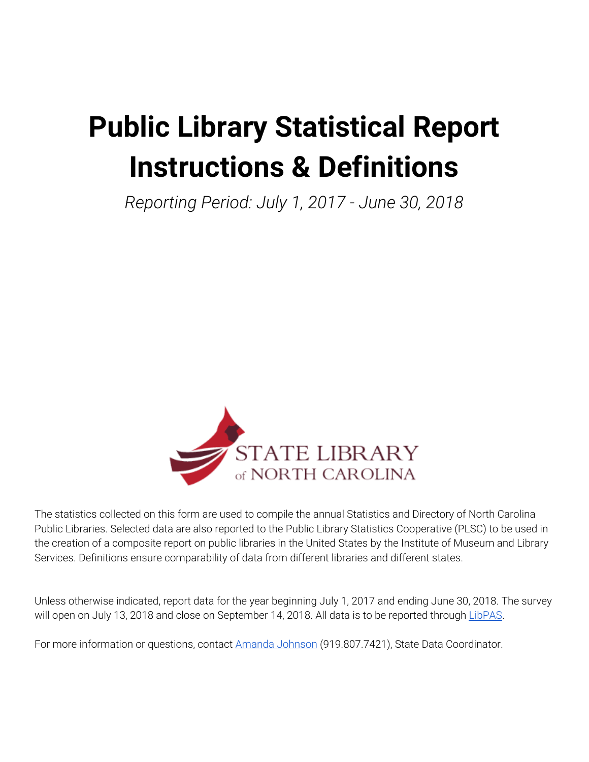# **Public Library Statistical Report Instructions & Definitions**

*Reporting Period: July 1, 2017 - June 30, 2018*



The statistics collected on this form are used to compile the annual Statistics and Directory of North Carolina Public Libraries. Selected data are also reported to the Public Library Statistics Cooperative (PLSC) to be used in the creation of a composite report on public libraries in the United States by the Institute of Museum and Library Services. Definitions ensure comparability of data from different libraries and different states.

Unless otherwise indicated, report data for the year beginning July 1, 2017 and ending June 30, 2018. The survey will open on July 13, 2018 and close on September 14, 2018. All data is to be reported through [LibPAS](http://nc.countingopinions.com/).

For more information or questions, contact Amanda [Johnson](mailto:amanda.johnson@ncdcr.gov) (919.807.7421), State Data Coordinator.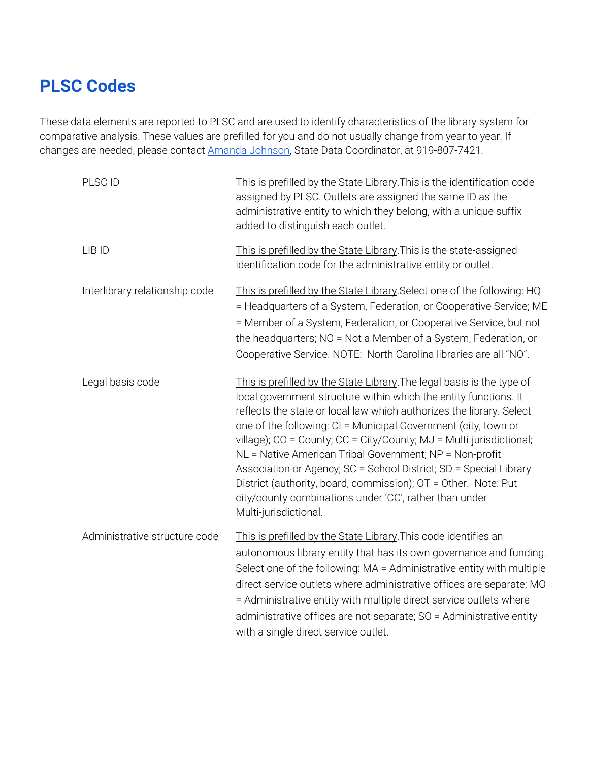# **PLSC Codes**

These data elements are reported to PLSC and are used to identify characteristics of the library system for comparative analysis. These values are prefilled for you and do not usually change from year to year. If changes are needed, please contact Amanda [Johnson,](mailto:amanda.johnson@ncdcr.gov) State Data Coordinator, at 919-807-7421.

| PLSC ID                        | This is prefilled by the State Library. This is the identification code<br>assigned by PLSC. Outlets are assigned the same ID as the<br>administrative entity to which they belong, with a unique suffix<br>added to distinguish each outlet.                                                                                                                                                                                                                                                                                                                                                                                                    |
|--------------------------------|--------------------------------------------------------------------------------------------------------------------------------------------------------------------------------------------------------------------------------------------------------------------------------------------------------------------------------------------------------------------------------------------------------------------------------------------------------------------------------------------------------------------------------------------------------------------------------------------------------------------------------------------------|
| LIB ID                         | This is prefilled by the State Library. This is the state-assigned<br>identification code for the administrative entity or outlet.                                                                                                                                                                                                                                                                                                                                                                                                                                                                                                               |
| Interlibrary relationship code | This is prefilled by the State Library Select one of the following: HQ<br>= Headquarters of a System, Federation, or Cooperative Service; ME<br>= Member of a System, Federation, or Cooperative Service, but not<br>the headquarters; NO = Not a Member of a System, Federation, or<br>Cooperative Service. NOTE: North Carolina libraries are all "NO".                                                                                                                                                                                                                                                                                        |
| Legal basis code               | This is prefilled by the State Library. The legal basis is the type of<br>local government structure within which the entity functions. It<br>reflects the state or local law which authorizes the library. Select<br>one of the following: CI = Municipal Government (city, town or<br>village); CO = County; CC = City/County; MJ = Multi-jurisdictional;<br>NL = Native American Tribal Government; NP = Non-profit<br>Association or Agency; SC = School District; SD = Special Library<br>District (authority, board, commission); OT = Other. Note: Put<br>city/county combinations under 'CC', rather than under<br>Multi-jurisdictional. |
| Administrative structure code  | This is prefilled by the State Library. This code identifies an<br>autonomous library entity that has its own governance and funding.<br>Select one of the following: MA = Administrative entity with multiple<br>direct service outlets where administrative offices are separate; MO<br>= Administrative entity with multiple direct service outlets where<br>administrative offices are not separate; SO = Administrative entity<br>with a single direct service outlet.                                                                                                                                                                      |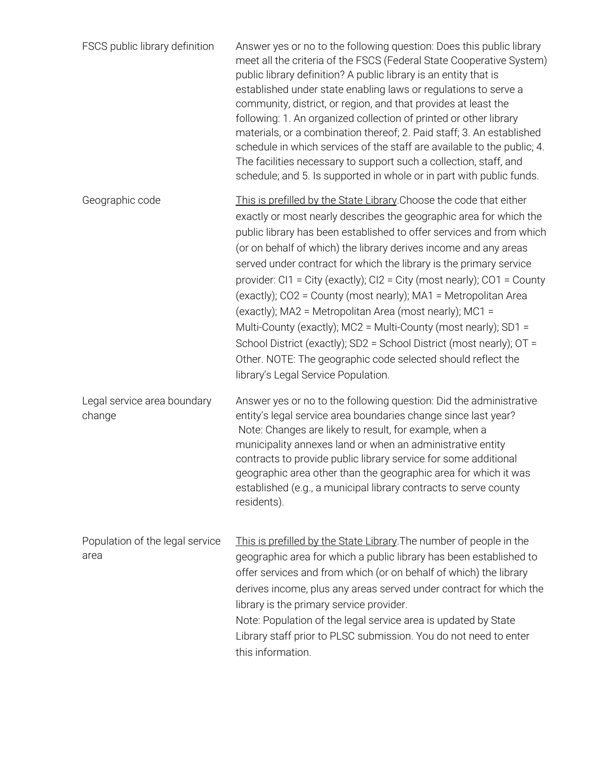| FSCS public library definition          | Answer yes or no to the following question: Does this public library<br>meet all the criteria of the FSCS (Federal State Cooperative System)<br>public library definition? A public library is an entity that is<br>established under state enabling laws or regulations to serve a<br>community, district, or region, and that provides at least the<br>following: 1. An organized collection of printed or other library<br>materials, or a combination thereof; 2. Paid staff; 3. An established<br>schedule in which services of the staff are available to the public; 4.<br>The facilities necessary to support such a collection, staff, and<br>schedule; and 5. Is supported in whole or in part with public funds.                                                                                                |
|-----------------------------------------|----------------------------------------------------------------------------------------------------------------------------------------------------------------------------------------------------------------------------------------------------------------------------------------------------------------------------------------------------------------------------------------------------------------------------------------------------------------------------------------------------------------------------------------------------------------------------------------------------------------------------------------------------------------------------------------------------------------------------------------------------------------------------------------------------------------------------|
| Geographic code                         | This is prefilled by the State Library. Choose the code that either<br>exactly or most nearly describes the geographic area for which the<br>public library has been established to offer services and from which<br>(or on behalf of which) the library derives income and any areas<br>served under contract for which the library is the primary service<br>provider: $Cl1 = City$ (exactly); $Cl2 = City$ (most nearly); $CO1 = County$<br>(exactly); CO2 = County (most nearly); MA1 = Metropolitan Area<br>(exactly); MA2 = Metropolitan Area (most nearly); MC1 =<br>Multi-County (exactly); MC2 = Multi-County (most nearly); SD1 =<br>School District (exactly); SD2 = School District (most nearly); OT =<br>Other. NOTE: The geographic code selected should reflect the<br>library's Legal Service Population. |
| Legal service area boundary<br>change   | Answer yes or no to the following question: Did the administrative<br>entity's legal service area boundaries change since last year?<br>Note: Changes are likely to result, for example, when a<br>municipality annexes land or when an administrative entity<br>contracts to provide public library service for some additional<br>geographic area other than the geographic area for which it was<br>established (e.g., a municipal library contracts to serve county<br>residents).                                                                                                                                                                                                                                                                                                                                     |
| Population of the legal service<br>area | This is prefilled by the State Library. The number of people in the<br>geographic area for which a public library has been established to<br>offer services and from which (or on behalf of which) the library<br>derives income, plus any areas served under contract for which the<br>library is the primary service provider.<br>Note: Population of the legal service area is updated by State<br>Library staff prior to PLSC submission. You do not need to enter<br>this information.                                                                                                                                                                                                                                                                                                                                |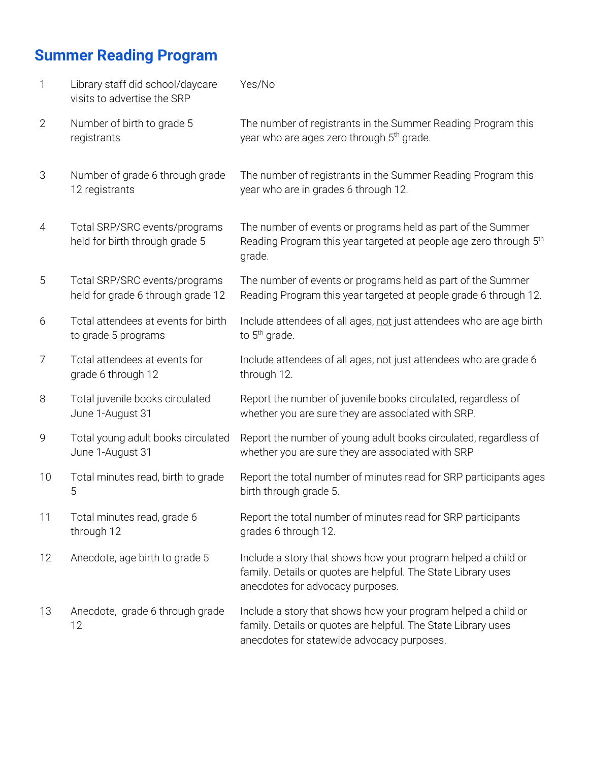# **Summer Reading Program**

| 1              | Library staff did school/daycare<br>visits to advertise the SRP    | Yes/No                                                                                                                                                                       |
|----------------|--------------------------------------------------------------------|------------------------------------------------------------------------------------------------------------------------------------------------------------------------------|
| $\overline{2}$ | Number of birth to grade 5<br>registrants                          | The number of registrants in the Summer Reading Program this<br>year who are ages zero through 5 <sup>th</sup> grade.                                                        |
| 3              | Number of grade 6 through grade<br>12 registrants                  | The number of registrants in the Summer Reading Program this<br>year who are in grades 6 through 12.                                                                         |
| 4              | Total SRP/SRC events/programs<br>held for birth through grade 5    | The number of events or programs held as part of the Summer<br>Reading Program this year targeted at people age zero through 5 <sup>th</sup><br>grade.                       |
| 5              | Total SRP/SRC events/programs<br>held for grade 6 through grade 12 | The number of events or programs held as part of the Summer<br>Reading Program this year targeted at people grade 6 through 12.                                              |
| 6              | Total attendees at events for birth<br>to grade 5 programs         | Include attendees of all ages, not just attendees who are age birth<br>to $5th$ grade.                                                                                       |
| 7              | Total attendees at events for<br>grade 6 through 12                | Include attendees of all ages, not just attendees who are grade 6<br>through 12.                                                                                             |
| 8              | Total juvenile books circulated<br>June 1-August 31                | Report the number of juvenile books circulated, regardless of<br>whether you are sure they are associated with SRP.                                                          |
| 9              | Total young adult books circulated<br>June 1-August 31             | Report the number of young adult books circulated, regardless of<br>whether you are sure they are associated with SRP                                                        |
| 10             | Total minutes read, birth to grade<br>5                            | Report the total number of minutes read for SRP participants ages<br>birth through grade 5.                                                                                  |
| 11             | Total minutes read, grade 6<br>through 12                          | Report the total number of minutes read for SRP participants<br>grades 6 through 12.                                                                                         |
| 12             | Anecdote, age birth to grade 5                                     | Include a story that shows how your program helped a child or<br>family. Details or quotes are helpful. The State Library uses<br>anecdotes for advocacy purposes.           |
| 13             | Anecdote, grade 6 through grade<br>12                              | Include a story that shows how your program helped a child or<br>family. Details or quotes are helpful. The State Library uses<br>anecdotes for statewide advocacy purposes. |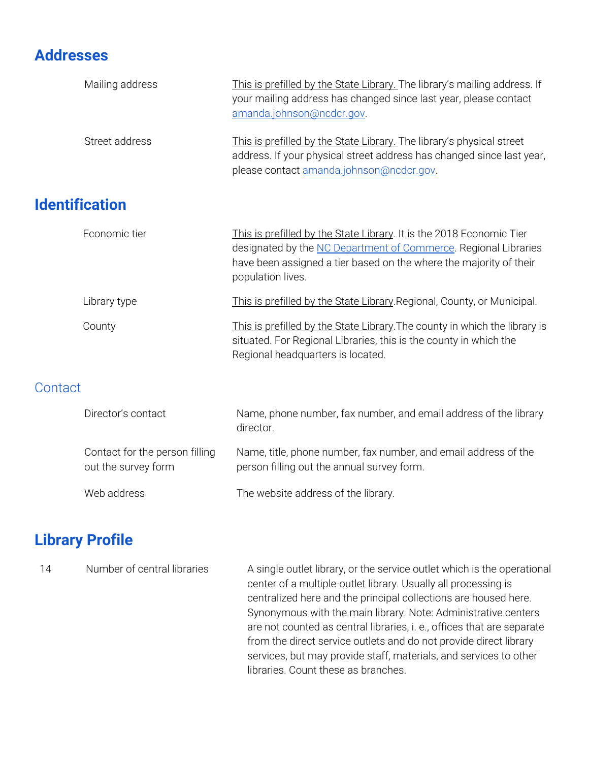# **Addresses**

|         | Mailing address                                       | This is prefilled by the State Library. The library's mailing address. If<br>your mailing address has changed since last year, please contact<br>amanda.johnson@ncdcr.gov.                                                         |
|---------|-------------------------------------------------------|------------------------------------------------------------------------------------------------------------------------------------------------------------------------------------------------------------------------------------|
|         | Street address                                        | This is prefilled by the State Library. The library's physical street<br>address. If your physical street address has changed since last year,<br>please contact amanda.johnson@ncdcr.gov.                                         |
|         | <b>Identification</b>                                 |                                                                                                                                                                                                                                    |
|         | Economic tier                                         | This is prefilled by the State Library. It is the 2018 Economic Tier<br>designated by the NC Department of Commerce. Regional Libraries<br>have been assigned a tier based on the where the majority of their<br>population lives. |
|         | Library type                                          | This is prefilled by the State Library Regional, County, or Municipal.                                                                                                                                                             |
|         | County                                                | This is prefilled by the State Library. The county in which the library is<br>situated. For Regional Libraries, this is the county in which the<br>Regional headquarters is located.                                               |
| Contact |                                                       |                                                                                                                                                                                                                                    |
|         | Director's contact                                    | Name, phone number, fax number, and email address of the library<br>director.                                                                                                                                                      |
|         | Contact for the person filling<br>out the survey form | Name, title, phone number, fax number, and email address of the<br>person filling out the annual survey form.                                                                                                                      |
|         | Web address                                           | The website address of the library.                                                                                                                                                                                                |

# **Library Profile**

| 14 | Number of central libraries | A single outlet library, or the service outlet which is the operational<br>center of a multiple-outlet library. Usually all processing is<br>centralized here and the principal collections are housed here.<br>Synonymous with the main library. Note: Administrative centers<br>are not counted as central libraries, i. e., offices that are separate<br>from the direct service outlets and do not provide direct library<br>services, but may provide staff, materials, and services to other |
|----|-----------------------------|----------------------------------------------------------------------------------------------------------------------------------------------------------------------------------------------------------------------------------------------------------------------------------------------------------------------------------------------------------------------------------------------------------------------------------------------------------------------------------------------------|
|    |                             | libraries. Count these as branches.                                                                                                                                                                                                                                                                                                                                                                                                                                                                |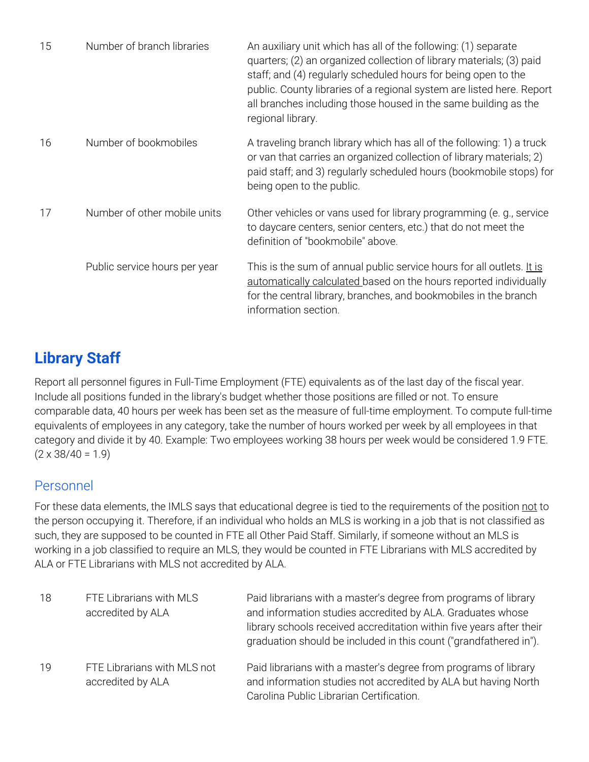| 15 | Number of branch libraries    | An auxiliary unit which has all of the following: (1) separate<br>quarters; (2) an organized collection of library materials; (3) paid<br>staff; and (4) regularly scheduled hours for being open to the<br>public. County libraries of a regional system are listed here. Report<br>all branches including those housed in the same building as the<br>regional library. |
|----|-------------------------------|---------------------------------------------------------------------------------------------------------------------------------------------------------------------------------------------------------------------------------------------------------------------------------------------------------------------------------------------------------------------------|
| 16 | Number of bookmobiles         | A traveling branch library which has all of the following: 1) a truck<br>or van that carries an organized collection of library materials; 2)<br>paid staff; and 3) regularly scheduled hours (bookmobile stops) for<br>being open to the public.                                                                                                                         |
| 17 | Number of other mobile units  | Other vehicles or vans used for library programming (e.g., service<br>to daycare centers, senior centers, etc.) that do not meet the<br>definition of "bookmobile" above.                                                                                                                                                                                                 |
|    | Public service hours per year | This is the sum of annual public service hours for all outlets. It is<br>automatically calculated based on the hours reported individually<br>for the central library, branches, and bookmobiles in the branch<br>information section.                                                                                                                                    |

# **Library Staff**

Report all personnel figures in Full-Time Employment (FTE) equivalents as of the last day of the fiscal year. Include all positions funded in the library's budget whether those positions are filled or not. To ensure comparable data, 40 hours per week has been set as the measure of full-time employment. To compute full-time equivalents of employees in any category, take the number of hours worked per week by all employees in that category and divide it by 40. Example: Two employees working 38 hours per week would be considered 1.9 FTE.  $(2 \times 38/40 = 1.9)$ 

#### Personnel

For these data elements, the IMLS says that educational degree is tied to the requirements of the position not to the person occupying it. Therefore, if an individual who holds an MLS is working in a job that is not classified as such, they are supposed to be counted in FTE all Other Paid Staff. Similarly, if someone without an MLS is working in a job classified to require an MLS, they would be counted in FTE Librarians with MLS accredited by ALA or FTE Librarians with MLS not accredited by ALA.

| 18 | FTE Librarians with MLS<br>accredited by ALA     | Paid librarians with a master's degree from programs of library<br>and information studies accredited by ALA. Graduates whose<br>library schools received accreditation within five years after their<br>graduation should be included in this count ("grandfathered in"). |
|----|--------------------------------------------------|----------------------------------------------------------------------------------------------------------------------------------------------------------------------------------------------------------------------------------------------------------------------------|
| 19 | FTE Librarians with MLS not<br>accredited by ALA | Paid librarians with a master's degree from programs of library<br>and information studies not accredited by ALA but having North<br>Carolina Public Librarian Certification.                                                                                              |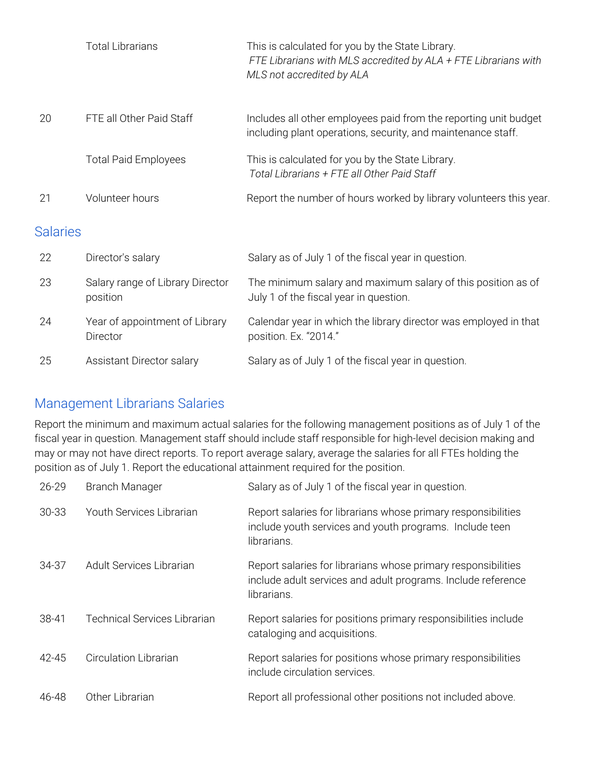|                 | <b>Total Librarians</b>                      | This is calculated for you by the State Library.<br>FTE Librarians with MLS accredited by ALA + FTE Librarians with<br>MLS not accredited by ALA |
|-----------------|----------------------------------------------|--------------------------------------------------------------------------------------------------------------------------------------------------|
| 20              | FTE all Other Paid Staff                     | Includes all other employees paid from the reporting unit budget<br>including plant operations, security, and maintenance staff.                 |
|                 | <b>Total Paid Employees</b>                  | This is calculated for you by the State Library.<br>Total Librarians + FTE all Other Paid Staff                                                  |
| 21              | Volunteer hours                              | Report the number of hours worked by library volunteers this year.                                                                               |
| <b>Salaries</b> |                                              |                                                                                                                                                  |
| 22              | Director's salary                            | Salary as of July 1 of the fiscal year in question.                                                                                              |
| 23              | Salary range of Library Director<br>position | The minimum salary and maximum salary of this position as of<br>July 1 of the fiscal year in question.                                           |
| 24              | Year of appointment of Library<br>Director   | Calendar year in which the library director was employed in that<br>position. Ex. "2014."                                                        |
| 25              | Assistant Director salary                    | Salary as of July 1 of the fiscal year in question.                                                                                              |

#### Management Librarians Salaries

Report the minimum and maximum actual salaries for the following management positions as of July 1 of the fiscal year in question. Management staff should include staff responsible for high-level decision making and may or may not have direct reports. To report average salary, average the salaries for all FTEs holding the position as of July 1. Report the educational attainment required for the position.

| 26-29 | <b>Branch Manager</b>        | Salary as of July 1 of the fiscal year in question.                                                                                          |
|-------|------------------------------|----------------------------------------------------------------------------------------------------------------------------------------------|
| 30-33 | Youth Services Librarian     | Report salaries for librarians whose primary responsibilities<br>include youth services and youth programs. Include teen<br>librarians.      |
| 34-37 | Adult Services Librarian     | Report salaries for librarians whose primary responsibilities<br>include adult services and adult programs. Include reference<br>librarians. |
| 38-41 | Technical Services Librarian | Report salaries for positions primary responsibilities include<br>cataloging and acquisitions.                                               |
| 42-45 | <b>Circulation Librarian</b> | Report salaries for positions whose primary responsibilities<br>include circulation services.                                                |
| 46-48 | Other Librarian              | Report all professional other positions not included above.                                                                                  |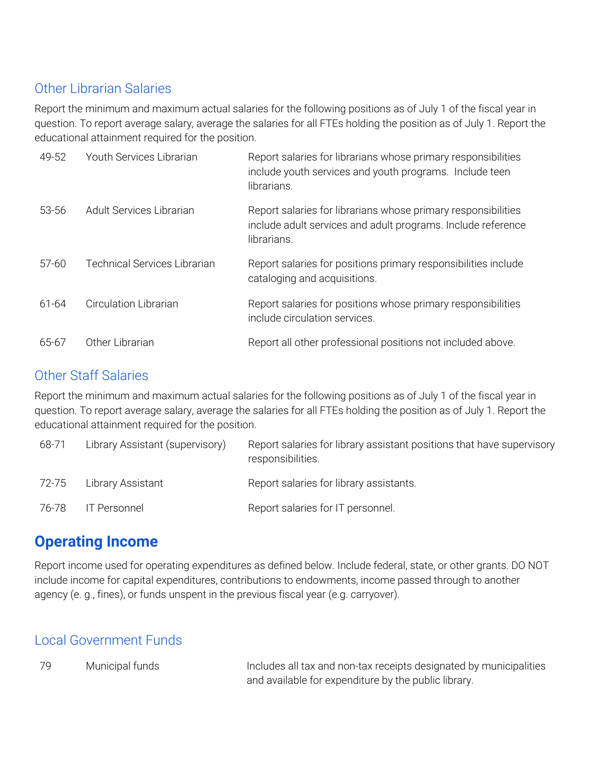#### Other Librarian Salaries

Report the minimum and maximum actual salaries for the following positions as of July 1 of the fiscal year in question. To report average salary, average the salaries for all FTEs holding the position as of July 1. Report the educational attainment required for the position.

| 49-52 | Youth Services Librarian            | Report salaries for librarians whose primary responsibilities<br>include youth services and youth programs. Include teen<br>librarians.      |
|-------|-------------------------------------|----------------------------------------------------------------------------------------------------------------------------------------------|
| 53-56 | Adult Services Librarian            | Report salaries for librarians whose primary responsibilities<br>include adult services and adult programs. Include reference<br>librarians. |
| 57-60 | <b>Technical Services Librarian</b> | Report salaries for positions primary responsibilities include<br>cataloging and acquisitions.                                               |
| 61-64 | <b>Circulation Librarian</b>        | Report salaries for positions whose primary responsibilities<br>include circulation services.                                                |
| 65-67 | Other Librarian                     | Report all other professional positions not included above.                                                                                  |

#### Other Staff Salaries

Report the minimum and maximum actual salaries for the following positions as of July 1 of the fiscal year in question. To report average salary, average the salaries for all FTEs holding the position as of July 1. Report the educational attainment required for the position.

| 68-71 | Library Assistant (supervisory) | Report salaries for library assistant positions that have supervisory<br>responsibilities. |
|-------|---------------------------------|--------------------------------------------------------------------------------------------|
| 72-75 | Library Assistant               | Report salaries for library assistants.                                                    |
| 76-78 | IT Personnel                    | Report salaries for IT personnel.                                                          |

## **Operating Income**

Report income used for operating expenditures as defined below. Include federal, state, or other grants. DO NOT include income for capital expenditures, contributions to endowments, income passed through to another agency (e. g., fines), or funds unspent in the previous fiscal year (e.g. carryover).

#### Local Government Funds

79 Municipal funds Includes all tax and non-tax receipts designated by municipalities and available for expenditure by the public library.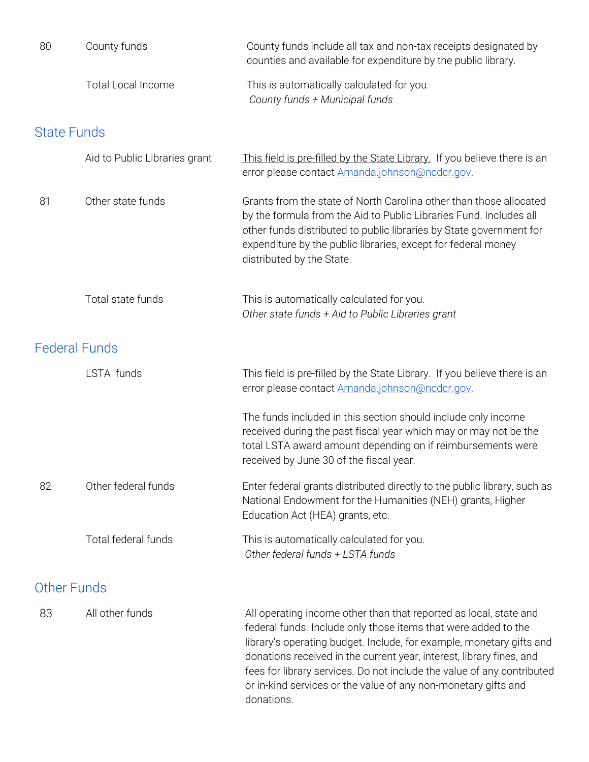| 80                 | County funds                  | County funds include all tax and non-tax receipts designated by<br>counties and available for expenditure by the public library.                                                                                                                                                                                                                                                                                                              |
|--------------------|-------------------------------|-----------------------------------------------------------------------------------------------------------------------------------------------------------------------------------------------------------------------------------------------------------------------------------------------------------------------------------------------------------------------------------------------------------------------------------------------|
|                    | <b>Total Local Income</b>     | This is automatically calculated for you.<br>County funds + Municipal funds                                                                                                                                                                                                                                                                                                                                                                   |
| <b>State Funds</b> |                               |                                                                                                                                                                                                                                                                                                                                                                                                                                               |
|                    | Aid to Public Libraries grant | This field is pre-filled by the State Library. If you believe there is an<br>error please contact Amanda.johnson@ncdcr.gov.                                                                                                                                                                                                                                                                                                                   |
| 81                 | Other state funds             | Grants from the state of North Carolina other than those allocated<br>by the formula from the Aid to Public Libraries Fund. Includes all<br>other funds distributed to public libraries by State government for<br>expenditure by the public libraries, except for federal money<br>distributed by the State.                                                                                                                                 |
|                    | Total state funds             | This is automatically calculated for you.<br>Other state funds + Aid to Public Libraries grant                                                                                                                                                                                                                                                                                                                                                |
|                    | <b>Federal Funds</b>          |                                                                                                                                                                                                                                                                                                                                                                                                                                               |
|                    | LSTA funds                    | This field is pre-filled by the State Library. If you believe there is an<br>error please contact Amanda.johnson@ncdcr.gov.                                                                                                                                                                                                                                                                                                                   |
|                    |                               | The funds included in this section should include only income<br>received during the past fiscal year which may or may not be the<br>total LSTA award amount depending on if reimbursements were<br>received by June 30 of the fiscal year.                                                                                                                                                                                                   |
| 82                 | Other federal funds           | Enter federal grants distributed directly to the public library, such as<br>National Endowment for the Humanities (NEH) grants, Higher<br>Education Act (HEA) grants, etc.                                                                                                                                                                                                                                                                    |
|                    | Total federal funds           | This is automatically calculated for you.<br>Other federal funds + LSTA funds                                                                                                                                                                                                                                                                                                                                                                 |
|                    | <b>Other Funds</b>            |                                                                                                                                                                                                                                                                                                                                                                                                                                               |
| 83                 | All other funds               | All operating income other than that reported as local, state and<br>federal funds. Include only those items that were added to the<br>library's operating budget. Include, for example, monetary gifts and<br>donations received in the current year, interest, library fines, and<br>fees for library services. Do not include the value of any contributed<br>or in-kind services or the value of any non-monetary gifts and<br>donations. |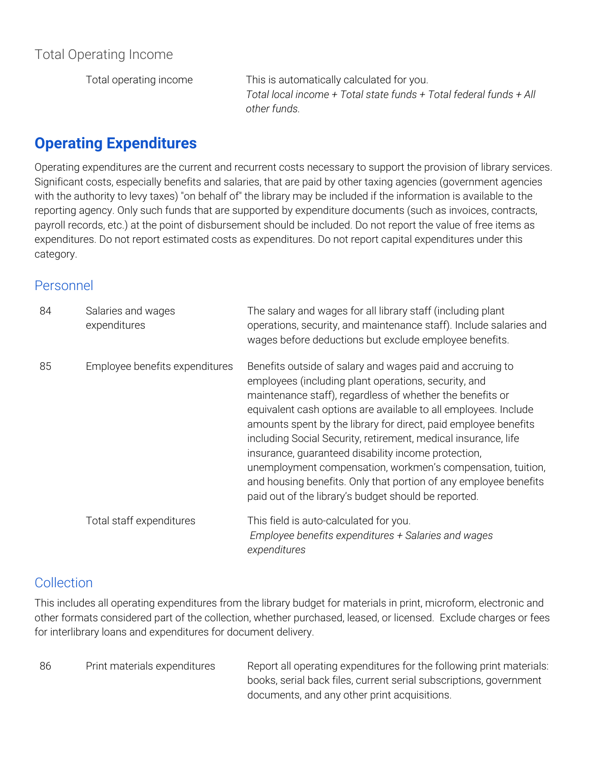Total operating income This is automatically calculated for you. *Total local income + Total state funds + Total federal funds + All other funds.*

# **Operating Expenditures**

Operating expenditures are the current and recurrent costs necessary to support the provision of library services. Significant costs, especially benefits and salaries, that are paid by other taxing agencies (government agencies with the authority to levy taxes) "on behalf of" the library may be included if the information is available to the reporting agency. Only such funds that are supported by expenditure documents (such as invoices, contracts, payroll records, etc.) at the point of disbursement should be included. Do not report the value of free items as expenditures. Do not report estimated costs as expenditures. Do not report capital expenditures under this category.

#### Personnel

| 84 | Salaries and wages<br>expenditures | The salary and wages for all library staff (including plant<br>operations, security, and maintenance staff). Include salaries and<br>wages before deductions but exclude employee benefits.                                                                                                                                                                                                                                                                                                                                                                                                                                              |
|----|------------------------------------|------------------------------------------------------------------------------------------------------------------------------------------------------------------------------------------------------------------------------------------------------------------------------------------------------------------------------------------------------------------------------------------------------------------------------------------------------------------------------------------------------------------------------------------------------------------------------------------------------------------------------------------|
| 85 | Employee benefits expenditures     | Benefits outside of salary and wages paid and accruing to<br>employees (including plant operations, security, and<br>maintenance staff), regardless of whether the benefits or<br>equivalent cash options are available to all employees. Include<br>amounts spent by the library for direct, paid employee benefits<br>including Social Security, retirement, medical insurance, life<br>insurance, guaranteed disability income protection,<br>unemployment compensation, workmen's compensation, tuition,<br>and housing benefits. Only that portion of any employee benefits<br>paid out of the library's budget should be reported. |
|    | Total staff expenditures           | This field is auto-calculated for you.<br>Employee benefits expenditures + Salaries and wages<br>expenditures                                                                                                                                                                                                                                                                                                                                                                                                                                                                                                                            |

#### **Collection**

This includes all operating expenditures from the library budget for materials in print, microform, electronic and other formats considered part of the collection, whether purchased, leased, or licensed. Exclude charges or fees for interlibrary loans and expenditures for document delivery.

| 86 | Print materials expenditures | Report all operating expenditures for the following print materials: |
|----|------------------------------|----------------------------------------------------------------------|
|    |                              | books, serial back files, current serial subscriptions, government   |
|    |                              | documents, and any other print acquisitions.                         |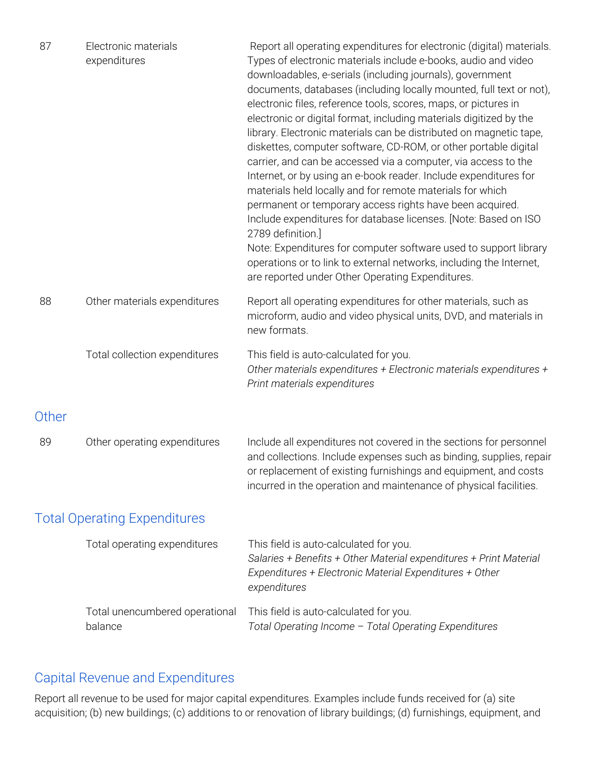| 87 | Electronic materials<br>expenditures | Report all operating expenditures for electronic (digital) materials.<br>Types of electronic materials include e-books, audio and video<br>downloadables, e-serials (including journals), government<br>documents, databases (including locally mounted, full text or not),<br>electronic files, reference tools, scores, maps, or pictures in<br>electronic or digital format, including materials digitized by the<br>library. Electronic materials can be distributed on magnetic tape,<br>diskettes, computer software, CD-ROM, or other portable digital<br>carrier, and can be accessed via a computer, via access to the<br>Internet, or by using an e-book reader. Include expenditures for<br>materials held locally and for remote materials for which<br>permanent or temporary access rights have been acquired.<br>Include expenditures for database licenses. [Note: Based on ISO<br>2789 definition.]<br>Note: Expenditures for computer software used to support library<br>operations or to link to external networks, including the Internet,<br>are reported under Other Operating Expenditures. |
|----|--------------------------------------|---------------------------------------------------------------------------------------------------------------------------------------------------------------------------------------------------------------------------------------------------------------------------------------------------------------------------------------------------------------------------------------------------------------------------------------------------------------------------------------------------------------------------------------------------------------------------------------------------------------------------------------------------------------------------------------------------------------------------------------------------------------------------------------------------------------------------------------------------------------------------------------------------------------------------------------------------------------------------------------------------------------------------------------------------------------------------------------------------------------------|
| 88 | Other materials expenditures         | Report all operating expenditures for other materials, such as<br>microform, audio and video physical units, DVD, and materials in<br>new formats.                                                                                                                                                                                                                                                                                                                                                                                                                                                                                                                                                                                                                                                                                                                                                                                                                                                                                                                                                                  |
|    | Total collection expenditures        | This field is auto-calculated for you.<br>Other materials expenditures + Electronic materials expenditures +<br>Print materials expenditures                                                                                                                                                                                                                                                                                                                                                                                                                                                                                                                                                                                                                                                                                                                                                                                                                                                                                                                                                                        |

#### **Other**

| 89 | Other operating expenditures | Include all expenditures not covered in the sections for personnel  |
|----|------------------------------|---------------------------------------------------------------------|
|    |                              | and collections. Include expenses such as binding, supplies, repair |
|    |                              | or replacement of existing furnishings and equipment, and costs     |
|    |                              | incurred in the operation and maintenance of physical facilities.   |

#### Total Operating Expenditures

| Total operating expenditures   | This field is auto-calculated for you.<br>Salaries + Benefits + Other Material expenditures + Print Material<br>Expenditures + Electronic Material Expenditures + Other<br>expenditures |
|--------------------------------|-----------------------------------------------------------------------------------------------------------------------------------------------------------------------------------------|
| Total unencumbered operational | This field is auto-calculated for you.                                                                                                                                                  |
| balance                        | Total Operating Income - Total Operating Expenditures                                                                                                                                   |

#### Capital Revenue and Expenditures

Report all revenue to be used for major capital expenditures. Examples include funds received for (a) site acquisition; (b) new buildings; (c) additions to or renovation of library buildings; (d) furnishings, equipment, and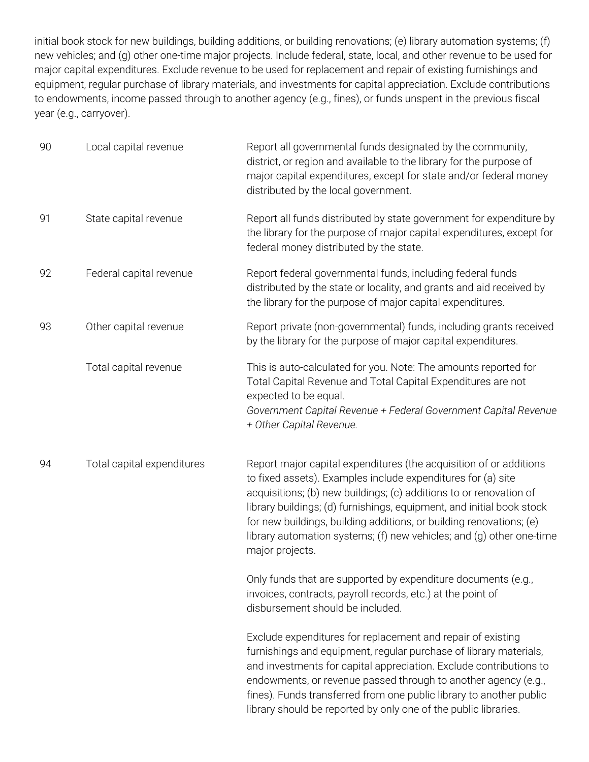initial book stock for new buildings, building additions, or building renovations; (e) library automation systems; (f) new vehicles; and (g) other one-time major projects. Include federal, state, local, and other revenue to be used for major capital expenditures. Exclude revenue to be used for replacement and repair of existing furnishings and equipment, regular purchase of library materials, and investments for capital appreciation. Exclude contributions to endowments, income passed through to another agency (e.g., fines), or funds unspent in the previous fiscal year (e.g., carryover).

| 90 | Local capital revenue      | Report all governmental funds designated by the community,<br>district, or region and available to the library for the purpose of<br>major capital expenditures, except for state and/or federal money<br>distributed by the local government.                                                                                                                                                                                                      |
|----|----------------------------|-----------------------------------------------------------------------------------------------------------------------------------------------------------------------------------------------------------------------------------------------------------------------------------------------------------------------------------------------------------------------------------------------------------------------------------------------------|
| 91 | State capital revenue      | Report all funds distributed by state government for expenditure by<br>the library for the purpose of major capital expenditures, except for<br>federal money distributed by the state.                                                                                                                                                                                                                                                             |
| 92 | Federal capital revenue    | Report federal governmental funds, including federal funds<br>distributed by the state or locality, and grants and aid received by<br>the library for the purpose of major capital expenditures.                                                                                                                                                                                                                                                    |
| 93 | Other capital revenue      | Report private (non-governmental) funds, including grants received<br>by the library for the purpose of major capital expenditures.                                                                                                                                                                                                                                                                                                                 |
|    | Total capital revenue      | This is auto-calculated for you. Note: The amounts reported for<br>Total Capital Revenue and Total Capital Expenditures are not<br>expected to be equal.<br>Government Capital Revenue + Federal Government Capital Revenue<br>+ Other Capital Revenue.                                                                                                                                                                                             |
| 94 | Total capital expenditures | Report major capital expenditures (the acquisition of or additions<br>to fixed assets). Examples include expenditures for (a) site<br>acquisitions; (b) new buildings; (c) additions to or renovation of<br>library buildings; (d) furnishings, equipment, and initial book stock<br>for new buildings, building additions, or building renovations; (e)<br>library automation systems; (f) new vehicles; and (g) other one-time<br>major projects. |
|    |                            | Only funds that are supported by expenditure documents (e.g.,<br>invoices, contracts, payroll records, etc.) at the point of<br>disbursement should be included.                                                                                                                                                                                                                                                                                    |
|    |                            | Exclude expenditures for replacement and repair of existing<br>furnishings and equipment, regular purchase of library materials,<br>and investments for capital appreciation. Exclude contributions to<br>endowments, or revenue passed through to another agency (e.g.,<br>fines). Funds transferred from one public library to another public<br>library should be reported by only one of the public libraries.                                  |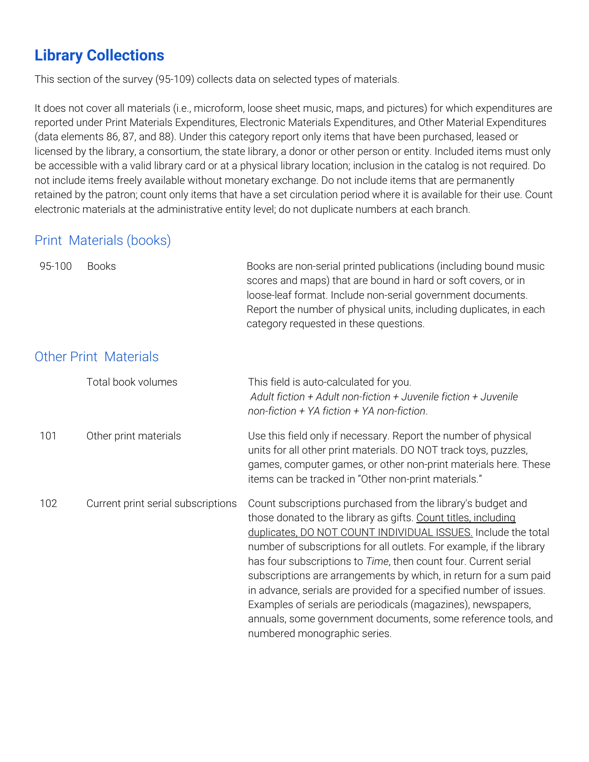# **Library Collections**

This section of the survey (95-109) collects data on selected types of materials.

It does not cover all materials (i.e., microform, loose sheet music, maps, and pictures) for which expenditures are reported under Print Materials Expenditures, Electronic Materials Expenditures, and Other Material Expenditures (data elements 86, 87, and 88). Under this category report only items that have been purchased, leased or licensed by the library, a consortium, the state library, a donor or other person or entity. Included items must only be accessible with a valid library card or at a physical library location; inclusion in the catalog is not required. Do not include items freely available without monetary exchange. Do not include items that are permanently retained by the patron; count only items that have a set circulation period where it is available for their use. Count electronic materials at the administrative entity level; do not duplicate numbers at each branch.

#### Print Materials (books)

| 95-100 | <b>Books</b>                       | Books are non-serial printed publications (including bound music<br>scores and maps) that are bound in hard or soft covers, or in<br>loose-leaf format. Include non-serial government documents.<br>Report the number of physical units, including duplicates, in each<br>category requested in these questions.                                                                                                                                                                                                                                                                                                                                      |
|--------|------------------------------------|-------------------------------------------------------------------------------------------------------------------------------------------------------------------------------------------------------------------------------------------------------------------------------------------------------------------------------------------------------------------------------------------------------------------------------------------------------------------------------------------------------------------------------------------------------------------------------------------------------------------------------------------------------|
|        | <b>Other Print Materials</b>       |                                                                                                                                                                                                                                                                                                                                                                                                                                                                                                                                                                                                                                                       |
|        | Total book volumes                 | This field is auto-calculated for you.<br>Adult fiction + Adult non-fiction + Juvenile fiction + Juvenile<br>non-fiction $+$ YA fiction $+$ YA non-fiction.                                                                                                                                                                                                                                                                                                                                                                                                                                                                                           |
| 101    | Other print materials              | Use this field only if necessary. Report the number of physical<br>units for all other print materials. DO NOT track toys, puzzles,<br>games, computer games, or other non-print materials here. These<br>items can be tracked in "Other non-print materials."                                                                                                                                                                                                                                                                                                                                                                                        |
| 102    | Current print serial subscriptions | Count subscriptions purchased from the library's budget and<br>those donated to the library as gifts. Count titles, including<br>duplicates, DO NOT COUNT INDIVIDUAL ISSUES. Include the total<br>number of subscriptions for all outlets. For example, if the library<br>has four subscriptions to Time, then count four. Current serial<br>subscriptions are arrangements by which, in return for a sum paid<br>in advance, serials are provided for a specified number of issues.<br>Examples of serials are periodicals (magazines), newspapers,<br>annuals, some government documents, some reference tools, and<br>numbered monographic series. |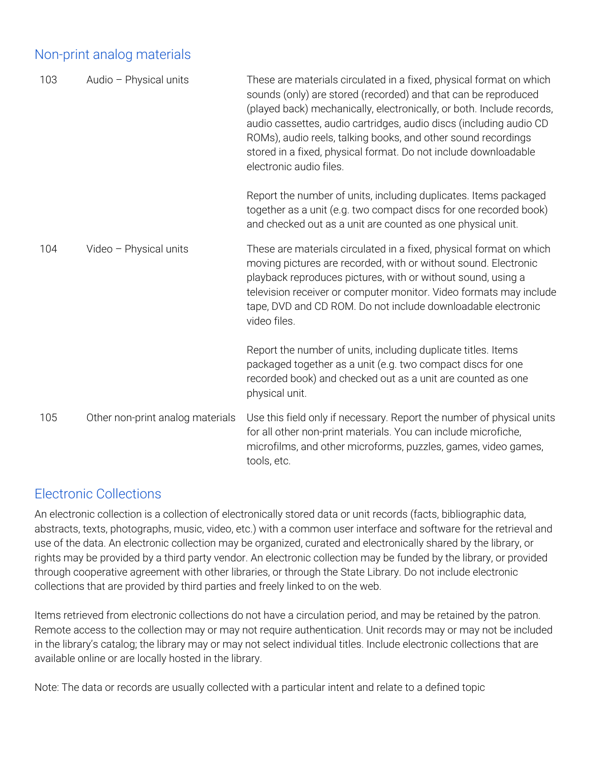#### Non-print analog materials

| 103 | Audio - Physical units           | These are materials circulated in a fixed, physical format on which<br>sounds (only) are stored (recorded) and that can be reproduced<br>(played back) mechanically, electronically, or both. Include records,<br>audio cassettes, audio cartridges, audio discs (including audio CD<br>ROMs), audio reels, talking books, and other sound recordings<br>stored in a fixed, physical format. Do not include downloadable<br>electronic audio files. |
|-----|----------------------------------|-----------------------------------------------------------------------------------------------------------------------------------------------------------------------------------------------------------------------------------------------------------------------------------------------------------------------------------------------------------------------------------------------------------------------------------------------------|
|     |                                  | Report the number of units, including duplicates. Items packaged<br>together as a unit (e.g. two compact discs for one recorded book)<br>and checked out as a unit are counted as one physical unit.                                                                                                                                                                                                                                                |
| 104 | Video - Physical units           | These are materials circulated in a fixed, physical format on which<br>moving pictures are recorded, with or without sound. Electronic<br>playback reproduces pictures, with or without sound, using a<br>television receiver or computer monitor. Video formats may include<br>tape, DVD and CD ROM. Do not include downloadable electronic<br>video files.                                                                                        |
|     |                                  | Report the number of units, including duplicate titles. Items<br>packaged together as a unit (e.g. two compact discs for one<br>recorded book) and checked out as a unit are counted as one<br>physical unit.                                                                                                                                                                                                                                       |
| 105 | Other non-print analog materials | Use this field only if necessary. Report the number of physical units<br>for all other non-print materials. You can include microfiche,<br>microfilms, and other microforms, puzzles, games, video games,<br>tools, etc.                                                                                                                                                                                                                            |

#### Electronic Collections

An electronic collection is a collection of electronically stored data or unit records (facts, bibliographic data, abstracts, texts, photographs, music, video, etc.) with a common user interface and software for the retrieval and use of the data. An electronic collection may be organized, curated and electronically shared by the library, or rights may be provided by a third party vendor. An electronic collection may be funded by the library, or provided through cooperative agreement with other libraries, or through the State Library. Do not include electronic collections that are provided by third parties and freely linked to on the web.

Items retrieved from electronic collections do not have a circulation period, and may be retained by the patron. Remote access to the collection may or may not require authentication. Unit records may or may not be included in the library's catalog; the library may or may not select individual titles. Include electronic collections that are available online or are locally hosted in the library.

Note: The data or records are usually collected with a particular intent and relate to a defined topic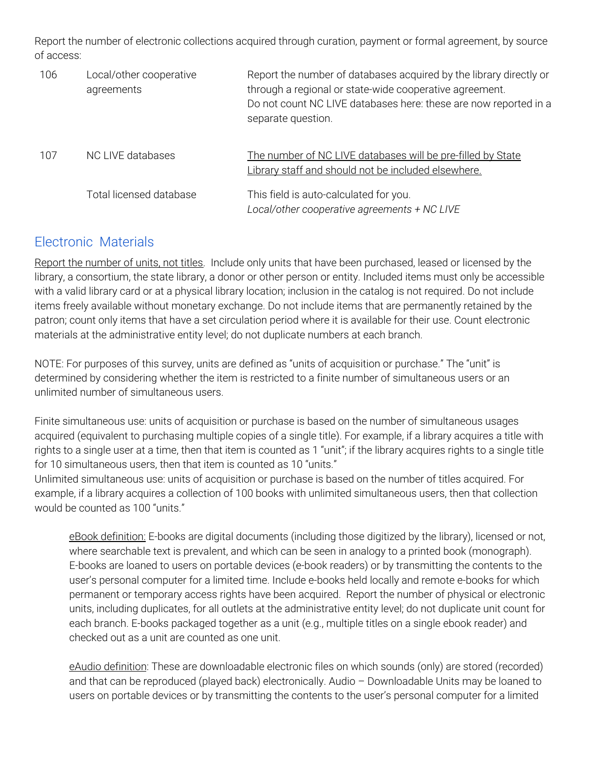Report the number of electronic collections acquired through curation, payment or formal agreement, by source of access:

| 106 | Local/other cooperative<br>agreements | Report the number of databases acquired by the library directly or<br>through a regional or state-wide cooperative agreement.<br>Do not count NC LIVE databases here: these are now reported in a<br>separate question. |
|-----|---------------------------------------|-------------------------------------------------------------------------------------------------------------------------------------------------------------------------------------------------------------------------|
| 107 | NC LIVE databases                     | The number of NC LIVE databases will be pre-filled by State<br>Library staff and should not be included elsewhere.                                                                                                      |
|     | Total licensed database               | This field is auto-calculated for you.<br>Local/other cooperative agreements + NC LIVE                                                                                                                                  |

#### Electronic Materials

Report the number of units, not titles. Include only units that have been purchased, leased or licensed by the library, a consortium, the state library, a donor or other person or entity. Included items must only be accessible with a valid library card or at a physical library location; inclusion in the catalog is not required. Do not include items freely available without monetary exchange. Do not include items that are permanently retained by the patron; count only items that have a set circulation period where it is available for their use. Count electronic materials at the administrative entity level; do not duplicate numbers at each branch.

NOTE: For purposes of this survey, units are defined as "units of acquisition or purchase." The "unit" is determined by considering whether the item is restricted to a finite number of simultaneous users or an unlimited number of simultaneous users.

Finite simultaneous use: units of acquisition or purchase is based on the number of simultaneous usages acquired (equivalent to purchasing multiple copies of a single title). For example, if a library acquires a title with rights to a single user at a time, then that item is counted as 1 "unit"; if the library acquires rights to a single title for 10 simultaneous users, then that item is counted as 10 "units."

Unlimited simultaneous use: units of acquisition or purchase is based on the number of titles acquired. For example, if a library acquires a collection of 100 books with unlimited simultaneous users, then that collection would be counted as 100 "units."

eBook definition: E-books are digital documents (including those digitized by the library), licensed or not, where searchable text is prevalent, and which can be seen in analogy to a printed book (monograph). E-books are loaned to users on portable devices (e-book readers) or by transmitting the contents to the user's personal computer for a limited time. Include e-books held locally and remote e-books for which permanent or temporary access rights have been acquired. Report the number of physical or electronic units, including duplicates, for all outlets at the administrative entity level; do not duplicate unit count for each branch. E-books packaged together as a unit (e.g., multiple titles on a single ebook reader) and checked out as a unit are counted as one unit.

eAudio definition: These are downloadable electronic files on which sounds (only) are stored (recorded) and that can be reproduced (played back) electronically. Audio – Downloadable Units may be loaned to users on portable devices or by transmitting the contents to the user's personal computer for a limited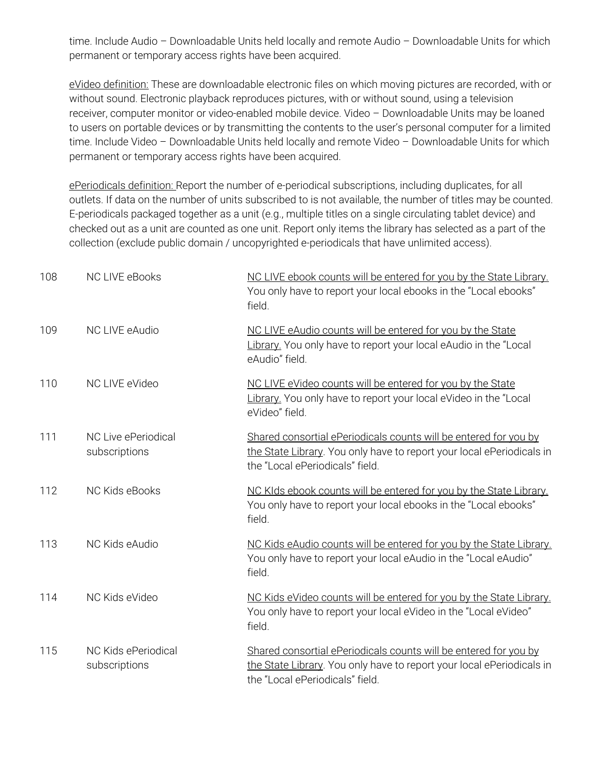time. Include Audio – Downloadable Units held locally and remote Audio – Downloadable Units for which permanent or temporary access rights have been acquired.

eVideo definition: These are downloadable electronic files on which moving pictures are recorded, with or without sound. Electronic playback reproduces pictures, with or without sound, using a television receiver, computer monitor or video-enabled mobile device. Video – Downloadable Units may be loaned to users on portable devices or by transmitting the contents to the user's personal computer for a limited time. Include Video – Downloadable Units held locally and remote Video – Downloadable Units for which permanent or temporary access rights have been acquired.

ePeriodicals definition: Report the number of e-periodical subscriptions, including duplicates, for all outlets. If data on the number of units subscribed to is not available, the number of titles may be counted. E-periodicals packaged together as a unit (e.g., multiple titles on a single circulating tablet device) and checked out as a unit are counted as one unit. Report only items the library has selected as a part of the collection (exclude public domain / uncopyrighted e-periodicals that have unlimited access).

| 108 | <b>NC LIVE eBooks</b>                | NC LIVE ebook counts will be entered for you by the State Library.<br>You only have to report your local ebooks in the "Local ebooks"<br>field.                              |
|-----|--------------------------------------|------------------------------------------------------------------------------------------------------------------------------------------------------------------------------|
| 109 | NC LIVE eAudio                       | NC LIVE eAudio counts will be entered for you by the State<br>Library. You only have to report your local eAudio in the "Local<br>eAudio" field.                             |
| 110 | NC LIVE eVideo                       | NC LIVE eVideo counts will be entered for you by the State<br>Library. You only have to report your local eVideo in the "Local<br>eVideo" field.                             |
| 111 | NC Live ePeriodical<br>subscriptions | Shared consortial ePeriodicals counts will be entered for you by<br>the State Library. You only have to report your local ePeriodicals in<br>the "Local ePeriodicals" field. |
| 112 | NC Kids eBooks                       | NC KIds ebook counts will be entered for you by the State Library.<br>You only have to report your local ebooks in the "Local ebooks"<br>field.                              |
| 113 | NC Kids eAudio                       | NC Kids eAudio counts will be entered for you by the State Library.<br>You only have to report your local eAudio in the "Local eAudio"<br>field.                             |
| 114 | NC Kids eVideo                       | NC Kids eVideo counts will be entered for you by the State Library.<br>You only have to report your local eVideo in the "Local eVideo"<br>field.                             |
| 115 | NC Kids ePeriodical<br>subscriptions | Shared consortial ePeriodicals counts will be entered for you by<br>the State Library. You only have to report your local ePeriodicals in<br>the "Local ePeriodicals" field. |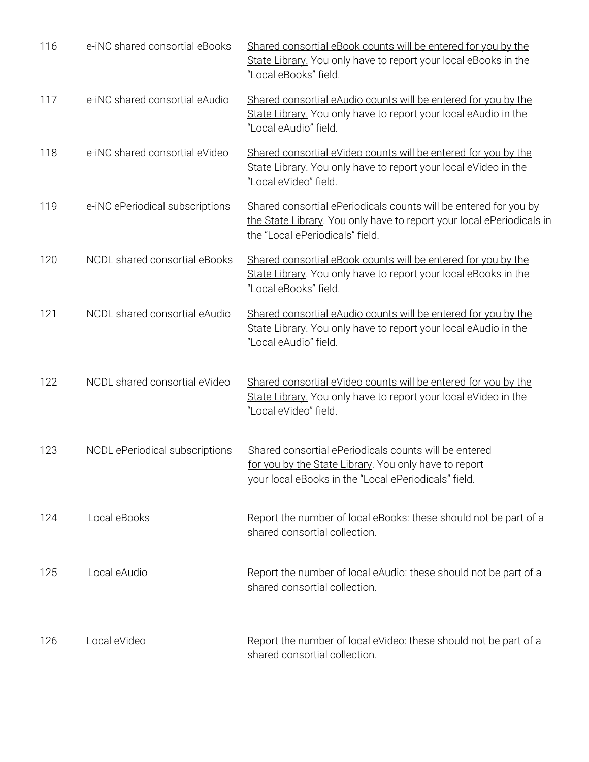| 116 | e-iNC shared consortial eBooks  | Shared consortial eBook counts will be entered for you by the<br>State Library. You only have to report your local eBooks in the<br>"Local eBooks" field.                    |
|-----|---------------------------------|------------------------------------------------------------------------------------------------------------------------------------------------------------------------------|
| 117 | e-iNC shared consortial eAudio  | Shared consortial eAudio counts will be entered for you by the<br>State Library. You only have to report your local eAudio in the<br>"Local eAudio" field.                   |
| 118 | e-iNC shared consortial eVideo  | Shared consortial eVideo counts will be entered for you by the<br>State Library. You only have to report your local eVideo in the<br>"Local eVideo" field.                   |
| 119 | e-iNC ePeriodical subscriptions | Shared consortial ePeriodicals counts will be entered for you by<br>the State Library. You only have to report your local ePeriodicals in<br>the "Local ePeriodicals" field. |
| 120 | NCDL shared consortial eBooks   | Shared consortial eBook counts will be entered for you by the<br>State Library. You only have to report your local eBooks in the<br>"Local eBooks" field.                    |
| 121 | NCDL shared consortial eAudio   | Shared consortial eAudio counts will be entered for you by the<br>State Library. You only have to report your local eAudio in the<br>"Local eAudio" field.                   |
| 122 | NCDL shared consortial eVideo   | Shared consortial eVideo counts will be entered for you by the<br>State Library. You only have to report your local eVideo in the<br>"Local eVideo" field.                   |
| 123 | NCDL ePeriodical subscriptions  | Shared consortial ePeriodicals counts will be entered<br>for you by the State Library. You only have to report<br>your local eBooks in the "Local ePeriodicals" field.       |
| 124 | Local eBooks                    | Report the number of local eBooks: these should not be part of a<br>shared consortial collection.                                                                            |
| 125 | Local eAudio                    | Report the number of local eAudio: these should not be part of a<br>shared consortial collection.                                                                            |
| 126 | Local eVideo                    | Report the number of local eVideo: these should not be part of a<br>shared consortial collection.                                                                            |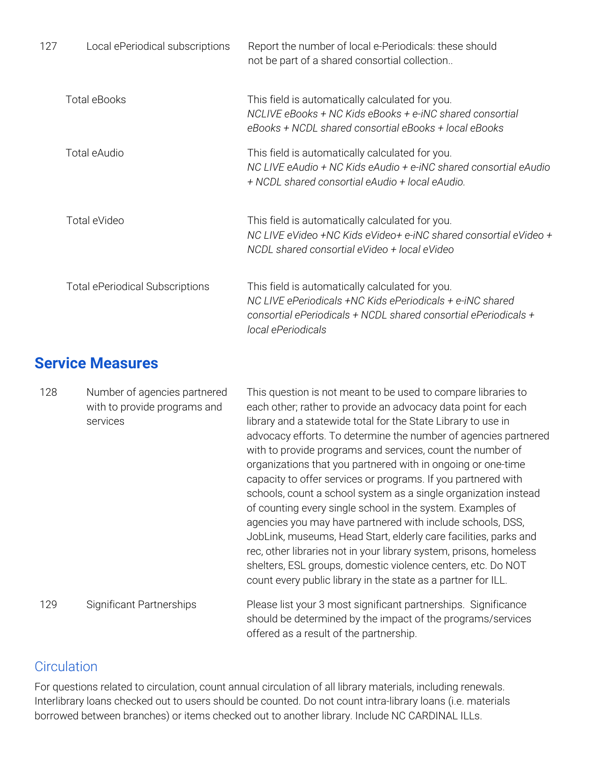| 127 | Local ePeriodical subscriptions        | Report the number of local e-Periodicals: these should<br>not be part of a shared consortial collection                                                                                               |
|-----|----------------------------------------|-------------------------------------------------------------------------------------------------------------------------------------------------------------------------------------------------------|
|     | Total eBooks                           | This field is automatically calculated for you.<br>NCLIVE eBooks + NC Kids eBooks + e-iNC shared consortial<br>eBooks + NCDL shared consortial eBooks + local eBooks                                  |
|     | Total eAudio                           | This field is automatically calculated for you.<br>NC LIVE eAudio + NC Kids eAudio + e-iNC shared consortial eAudio<br>+ NCDL shared consortial eAudio + local eAudio.                                |
|     | Total eVideo                           | This field is automatically calculated for you.<br>NC LIVE eVideo +NC Kids eVideo+ e-iNC shared consortial eVideo +<br>NCDL shared consortial eVideo + local eVideo                                   |
|     | <b>Total ePeriodical Subscriptions</b> | This field is automatically calculated for you.<br>NC LIVE ePeriodicals +NC Kids ePeriodicals + e-iNC shared<br>consortial ePeriodicals + NCDL shared consortial ePeriodicals +<br>local ePeriodicals |

## **Service Measures**

| 128 | Number of agencies partnered<br>with to provide programs and<br>services | This question is not meant to be used to compare libraries to<br>each other; rather to provide an advocacy data point for each<br>library and a statewide total for the State Library to use in<br>advocacy efforts. To determine the number of agencies partnered<br>with to provide programs and services, count the number of<br>organizations that you partnered with in ongoing or one-time<br>capacity to offer services or programs. If you partnered with<br>schools, count a school system as a single organization instead<br>of counting every single school in the system. Examples of<br>agencies you may have partnered with include schools, DSS,<br>JobLink, museums, Head Start, elderly care facilities, parks and<br>rec, other libraries not in your library system, prisons, homeless<br>shelters, ESL groups, domestic violence centers, etc. Do NOT<br>count every public library in the state as a partner for ILL. |
|-----|--------------------------------------------------------------------------|---------------------------------------------------------------------------------------------------------------------------------------------------------------------------------------------------------------------------------------------------------------------------------------------------------------------------------------------------------------------------------------------------------------------------------------------------------------------------------------------------------------------------------------------------------------------------------------------------------------------------------------------------------------------------------------------------------------------------------------------------------------------------------------------------------------------------------------------------------------------------------------------------------------------------------------------|
| 129 | <b>Significant Partnerships</b>                                          | Please list your 3 most significant partnerships. Significance<br>should be determined by the impact of the programs/services<br>offered as a result of the partnership.                                                                                                                                                                                                                                                                                                                                                                                                                                                                                                                                                                                                                                                                                                                                                                    |

#### **Circulation**

For questions related to circulation, count annual circulation of all library materials, including renewals. Interlibrary loans checked out to users should be counted. Do not count intra-library loans (i.e. materials borrowed between branches) or items checked out to another library. Include NC CARDINAL ILLs.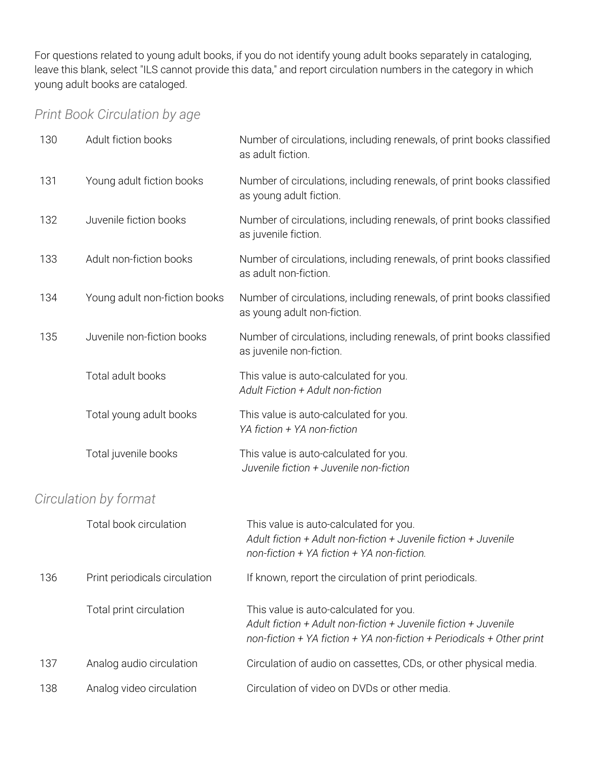For questions related to young adult books, if you do not identify young adult books separately in cataloging, leave this blank, select "ILS cannot provide this data," and report circulation numbers in the category in which young adult books are cataloged.

### *Print Book Circulation by age*

| 130 | Adult fiction books           | Number of circulations, including renewals, of print books classified<br>as adult fiction.                                                                                         |
|-----|-------------------------------|------------------------------------------------------------------------------------------------------------------------------------------------------------------------------------|
| 131 | Young adult fiction books     | Number of circulations, including renewals, of print books classified<br>as young adult fiction.                                                                                   |
| 132 | Juvenile fiction books        | Number of circulations, including renewals, of print books classified<br>as juvenile fiction.                                                                                      |
| 133 | Adult non-fiction books       | Number of circulations, including renewals, of print books classified<br>as adult non-fiction.                                                                                     |
| 134 | Young adult non-fiction books | Number of circulations, including renewals, of print books classified<br>as young adult non-fiction.                                                                               |
| 135 | Juvenile non-fiction books    | Number of circulations, including renewals, of print books classified<br>as juvenile non-fiction.                                                                                  |
|     | Total adult books             | This value is auto-calculated for you.<br>Adult Fiction + Adult non-fiction                                                                                                        |
|     | Total young adult books       | This value is auto-calculated for you.<br>YA fiction + YA non-fiction                                                                                                              |
|     | Total juvenile books          | This value is auto-calculated for you.<br>Juvenile fiction + Juvenile non-fiction                                                                                                  |
|     | Circulation by format         |                                                                                                                                                                                    |
|     | Total book circulation        | This value is auto-calculated for you.<br>Adult fiction + Adult non-fiction + Juvenile fiction + Juvenile<br>non-fiction + $YA$ fiction + $YA$ non-fiction.                        |
| 136 | Print periodicals circulation | If known, report the circulation of print periodicals.                                                                                                                             |
|     | Total print circulation       | This value is auto-calculated for you.<br>Adult fiction + Adult non-fiction + Juvenile fiction + Juvenile<br>non-fiction + YA fiction + YA non-fiction + Periodicals + Other print |
| 137 | Analog audio circulation      | Circulation of audio on cassettes, CDs, or other physical media.                                                                                                                   |
| 138 | Analog video circulation      | Circulation of video on DVDs or other media.                                                                                                                                       |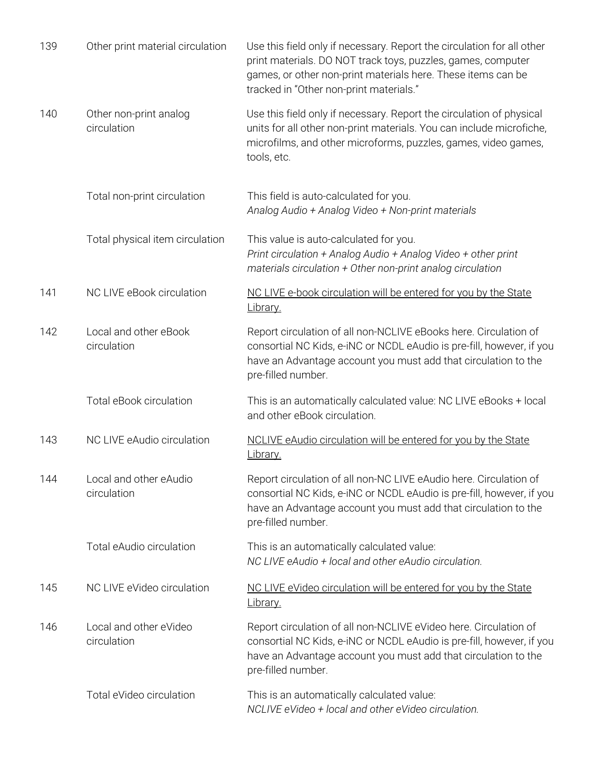| 139 | Other print material circulation      | Use this field only if necessary. Report the circulation for all other<br>print materials. DO NOT track toys, puzzles, games, computer<br>games, or other non-print materials here. These items can be<br>tracked in "Other non-print materials." |
|-----|---------------------------------------|---------------------------------------------------------------------------------------------------------------------------------------------------------------------------------------------------------------------------------------------------|
| 140 | Other non-print analog<br>circulation | Use this field only if necessary. Report the circulation of physical<br>units for all other non-print materials. You can include microfiche,<br>microfilms, and other microforms, puzzles, games, video games,<br>tools, etc.                     |
|     | Total non-print circulation           | This field is auto-calculated for you.<br>Analog Audio + Analog Video + Non-print materials                                                                                                                                                       |
|     | Total physical item circulation       | This value is auto-calculated for you.<br>Print circulation + Analog Audio + Analog Video + other print<br>materials circulation + Other non-print analog circulation                                                                             |
| 141 | NC LIVE eBook circulation             | NC LIVE e-book circulation will be entered for you by the State<br>Library.                                                                                                                                                                       |
| 142 | Local and other eBook<br>circulation  | Report circulation of all non-NCLIVE eBooks here. Circulation of<br>consortial NC Kids, e-iNC or NCDL eAudio is pre-fill, however, if you<br>have an Advantage account you must add that circulation to the<br>pre-filled number.                 |
|     | Total eBook circulation               | This is an automatically calculated value: NC LIVE eBooks + local<br>and other eBook circulation.                                                                                                                                                 |
| 143 | NC LIVE eAudio circulation            | NCLIVE eAudio circulation will be entered for you by the State<br>Library.                                                                                                                                                                        |
| 144 | Local and other eAudio<br>circulation | Report circulation of all non-NC LIVE eAudio here. Circulation of<br>consortial NC Kids, e-iNC or NCDL eAudio is pre-fill, however, if you<br>have an Advantage account you must add that circulation to the<br>pre-filled number.                |
|     | Total eAudio circulation              | This is an automatically calculated value:<br>NC LIVE eAudio + local and other eAudio circulation.                                                                                                                                                |
| 145 | NC LIVE eVideo circulation            | NC LIVE eVideo circulation will be entered for you by the State<br>Library.                                                                                                                                                                       |
| 146 | Local and other eVideo<br>circulation | Report circulation of all non-NCLIVE eVideo here. Circulation of<br>consortial NC Kids, e-iNC or NCDL eAudio is pre-fill, however, if you<br>have an Advantage account you must add that circulation to the<br>pre-filled number.                 |
|     | Total eVideo circulation              | This is an automatically calculated value:<br>NCLIVE eVideo + local and other eVideo circulation.                                                                                                                                                 |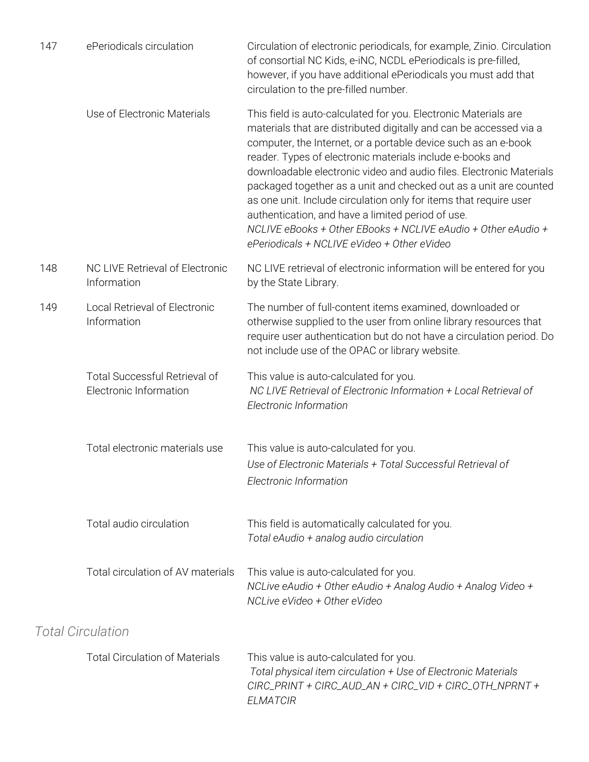| 147 | ePeriodicals circulation                                       | Circulation of electronic periodicals, for example, Zinio. Circulation<br>of consortial NC Kids, e-iNC, NCDL ePeriodicals is pre-filled,<br>however, if you have additional ePeriodicals you must add that<br>circulation to the pre-filled number.                                                                                                                                                                                                                                                                                                                                                                                                        |
|-----|----------------------------------------------------------------|------------------------------------------------------------------------------------------------------------------------------------------------------------------------------------------------------------------------------------------------------------------------------------------------------------------------------------------------------------------------------------------------------------------------------------------------------------------------------------------------------------------------------------------------------------------------------------------------------------------------------------------------------------|
|     | Use of Electronic Materials                                    | This field is auto-calculated for you. Electronic Materials are<br>materials that are distributed digitally and can be accessed via a<br>computer, the Internet, or a portable device such as an e-book<br>reader. Types of electronic materials include e-books and<br>downloadable electronic video and audio files. Electronic Materials<br>packaged together as a unit and checked out as a unit are counted<br>as one unit. Include circulation only for items that require user<br>authentication, and have a limited period of use.<br>NCLIVE eBooks + Other EBooks + NCLIVE eAudio + Other eAudio +<br>ePeriodicals + NCLIVE eVideo + Other eVideo |
| 148 | NC LIVE Retrieval of Electronic<br>Information                 | NC LIVE retrieval of electronic information will be entered for you<br>by the State Library.                                                                                                                                                                                                                                                                                                                                                                                                                                                                                                                                                               |
| 149 | Local Retrieval of Electronic<br>Information                   | The number of full-content items examined, downloaded or<br>otherwise supplied to the user from online library resources that<br>require user authentication but do not have a circulation period. Do<br>not include use of the OPAC or library website.                                                                                                                                                                                                                                                                                                                                                                                                   |
|     | <b>Total Successful Retrieval of</b><br>Electronic Information | This value is auto-calculated for you.<br>NC LIVE Retrieval of Electronic Information + Local Retrieval of<br>Electronic Information                                                                                                                                                                                                                                                                                                                                                                                                                                                                                                                       |
|     | Total electronic materials use                                 | This value is auto-calculated for you.<br>Use of Electronic Materials + Total Successful Retrieval of<br>Electronic Information                                                                                                                                                                                                                                                                                                                                                                                                                                                                                                                            |
|     | Total audio circulation                                        | This field is automatically calculated for you.<br>Total eAudio + analog audio circulation                                                                                                                                                                                                                                                                                                                                                                                                                                                                                                                                                                 |
|     | Total circulation of AV materials                              | This value is auto-calculated for you.<br>NCLive eAudio + Other eAudio + Analog Audio + Analog Video +<br>NCLive eVideo + Other eVideo                                                                                                                                                                                                                                                                                                                                                                                                                                                                                                                     |
|     | <b>Total Circulation</b>                                       |                                                                                                                                                                                                                                                                                                                                                                                                                                                                                                                                                                                                                                                            |
|     | <b>Total Circulation of Materials</b>                          | This value is auto-calculated for you.<br>Total physical item circulation + Use of Electronic Materials<br>CIRC_PRINT + CIRC_AUD_AN + CIRC_VID + CIRC_OTH_NPRNT +<br><b>ELMATCIR</b>                                                                                                                                                                                                                                                                                                                                                                                                                                                                       |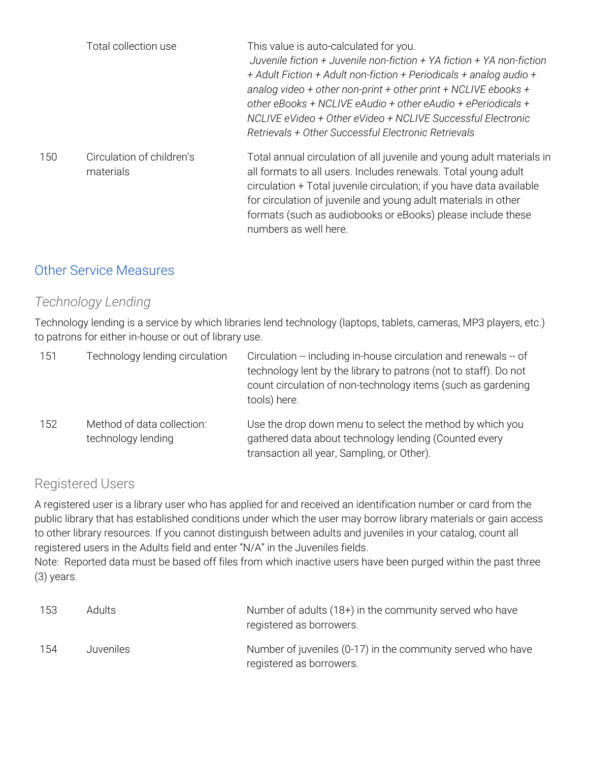|     | Total collection use                   | This value is auto-calculated for you.<br>Juvenile fiction + Juvenile non-fiction + YA fiction + YA non-fiction<br>+ Adult Fiction + Adult non-fiction + Periodicals + analog audio +<br>analog video + other non-print + other print + NCLIVE ebooks +<br>other eBooks + NCLIVE eAudio + other eAudio + ePeriodicals +<br>NCLIVE eVideo + Other eVideo + NCLIVE Successful Electronic<br>Retrievals + Other Successful Electronic Retrievals |
|-----|----------------------------------------|-----------------------------------------------------------------------------------------------------------------------------------------------------------------------------------------------------------------------------------------------------------------------------------------------------------------------------------------------------------------------------------------------------------------------------------------------|
| 150 | Circulation of children's<br>materials | Total annual circulation of all juvenile and young adult materials in<br>all formats to all users. Includes renewals. Total young adult<br>circulation + Total juvenile circulation; if you have data available<br>for circulation of juvenile and young adult materials in other<br>formats (such as audiobooks or eBooks) please include these<br>numbers as well here.                                                                     |

#### Other Service Measures

#### *Technology Lending*

Technology lending is a service by which libraries lend technology (laptops, tablets, cameras, MP3 players, etc.) to patrons for either in-house or out of library use.

| 151 | Technology lending circulation                   | Circulation -- including in-house circulation and renewals -- of<br>technology lent by the library to patrons (not to staff). Do not<br>count circulation of non-technology items (such as gardening<br>tools) here. |
|-----|--------------------------------------------------|----------------------------------------------------------------------------------------------------------------------------------------------------------------------------------------------------------------------|
| 152 | Method of data collection:<br>technology lending | Use the drop down menu to select the method by which you<br>gathered data about technology lending (Counted every<br>transaction all year, Sampling, or Other).                                                      |

#### Registered Users

A registered user is a library user who has applied for and received an identification number or card from the public library that has established conditions under which the user may borrow library materials or gain access to other library resources. If you cannot distinguish between adults and juveniles in your catalog, count all registered users in the Adults field and enter "N/A" in the Juveniles fields.

Note: Reported data must be based off files from which inactive users have been purged within the past three (3) years.

| 153 | <b>Adults</b> | Number of adults $(18+)$ in the community served who have<br>registered as borrowers.   |
|-----|---------------|-----------------------------------------------------------------------------------------|
| 154 | Juveniles     | Number of juveniles (0-17) in the community served who have<br>registered as borrowers. |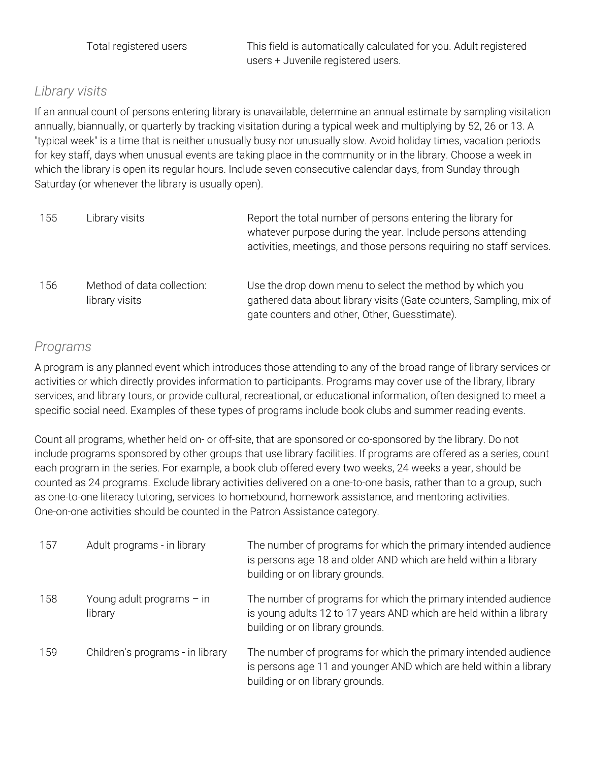Total registered users This field is automatically calculated for you. Adult registered users + Juvenile registered users.

#### *Library visits*

If an annual count of persons entering library is unavailable, determine an annual estimate by sampling visitation annually, biannually, or quarterly by tracking visitation during a typical week and multiplying by 52, 26 or 13. A "typical week" is a time that is neither unusually busy nor unusually slow. Avoid holiday times, vacation periods for key staff, days when unusual events are taking place in the community or in the library. Choose a week in which the library is open its regular hours. Include seven consecutive calendar days, from Sunday through Saturday (or whenever the library is usually open).

| 155 | Library visits                               | Report the total number of persons entering the library for<br>whatever purpose during the year. Include persons attending<br>activities, meetings, and those persons requiring no staff services. |
|-----|----------------------------------------------|----------------------------------------------------------------------------------------------------------------------------------------------------------------------------------------------------|
| 156 | Method of data collection:<br>library visits | Use the drop down menu to select the method by which you<br>gathered data about library visits (Gate counters, Sampling, mix of<br>gate counters and other, Other, Guesstimate).                   |

#### *Programs*

A program is any planned event which introduces those attending to any of the broad range of library services or activities or which directly provides information to participants. Programs may cover use of the library, library services, and library tours, or provide cultural, recreational, or educational information, often designed to meet a specific social need. Examples of these types of programs include book clubs and summer reading events.

Count all programs, whether held on- or off-site, that are sponsored or co-sponsored by the library. Do not include programs sponsored by other groups that use library facilities. If programs are offered as a series, count each program in the series. For example, a book club offered every two weeks, 24 weeks a year, should be counted as 24 programs. Exclude library activities delivered on a one-to-one basis, rather than to a group, such as one-to-one literacy tutoring, services to homebound, homework assistance, and mentoring activities. One-on-one activities should be counted in the Patron Assistance category.

| 157 | Adult programs - in library            | The number of programs for which the primary intended audience<br>is persons age 18 and older AND which are held within a library<br>building or on library grounds.    |
|-----|----------------------------------------|-------------------------------------------------------------------------------------------------------------------------------------------------------------------------|
| 158 | Young adult programs $-$ in<br>library | The number of programs for which the primary intended audience<br>is young adults 12 to 17 years AND which are held within a library<br>building or on library grounds. |
| 159 | Children's programs - in library       | The number of programs for which the primary intended audience<br>is persons age 11 and younger AND which are held within a library<br>building or on library grounds.  |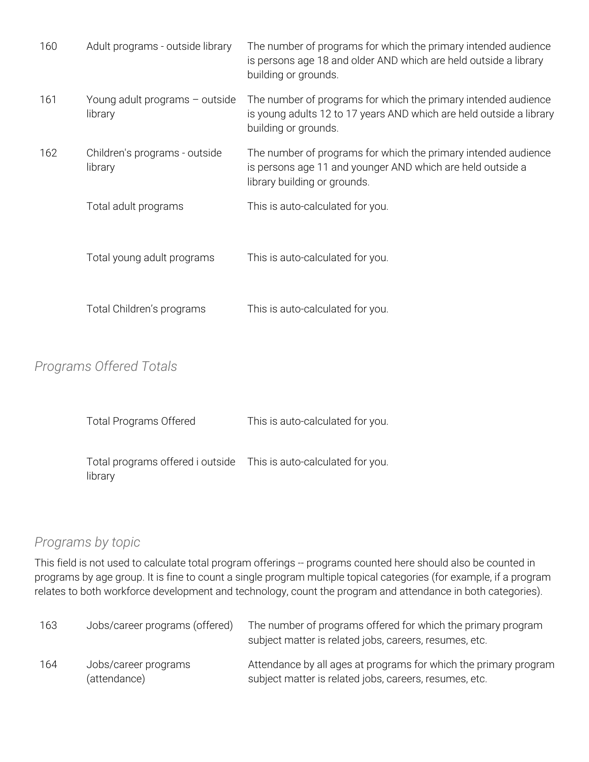| 160 | Adult programs - outside library          | The number of programs for which the primary intended audience<br>is persons age 18 and older AND which are held outside a library<br>building or grounds.    |
|-----|-------------------------------------------|---------------------------------------------------------------------------------------------------------------------------------------------------------------|
| 161 | Young adult programs - outside<br>library | The number of programs for which the primary intended audience<br>is young adults 12 to 17 years AND which are held outside a library<br>building or grounds. |
| 162 | Children's programs - outside<br>library  | The number of programs for which the primary intended audience<br>is persons age 11 and younger AND which are held outside a<br>library building or grounds.  |
|     | Total adult programs                      | This is auto-calculated for you.                                                                                                                              |
|     | Total young adult programs                | This is auto-calculated for you.                                                                                                                              |
|     | Total Children's programs                 | This is auto-calculated for you.                                                                                                                              |

#### *Programs Offered Totals*

| <b>Total Programs Offered</b>                                                | This is auto-calculated for you. |  |
|------------------------------------------------------------------------------|----------------------------------|--|
| Total programs offered i outside This is auto-calculated for you.<br>library |                                  |  |

#### *Programs by topic*

This field is not used to calculate total program offerings -- programs counted here should also be counted in programs by age group. It is fine to count a single program multiple topical categories (for example, if a program relates to both workforce development and technology, count the program and attendance in both categories).

| 163 | Jobs/career programs (offered)       | The number of programs offered for which the primary program<br>subject matter is related jobs, careers, resumes, etc.     |
|-----|--------------------------------------|----------------------------------------------------------------------------------------------------------------------------|
| 164 | Jobs/career programs<br>(attendance) | Attendance by all ages at programs for which the primary program<br>subject matter is related jobs, careers, resumes, etc. |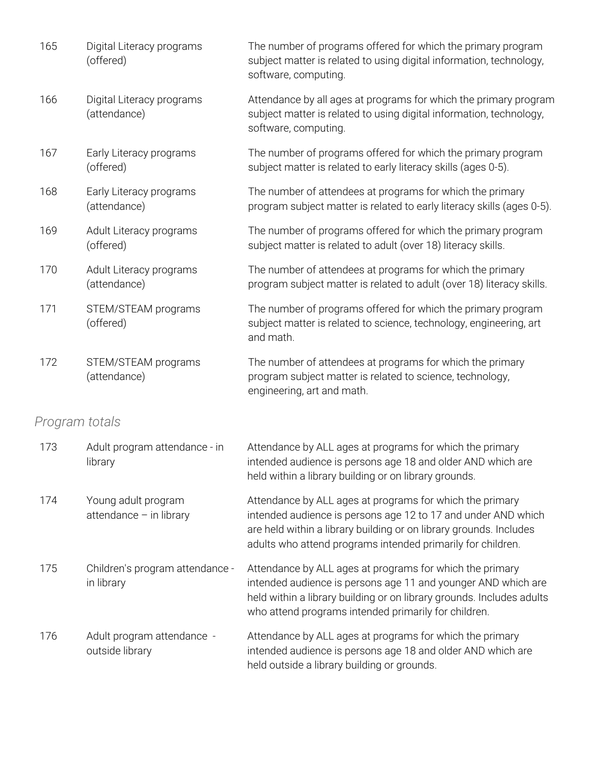| 165            | Digital Literacy programs<br>(offered)         | The number of programs offered for which the primary program<br>subject matter is related to using digital information, technology,<br>software, computing.                                                                                                    |
|----------------|------------------------------------------------|----------------------------------------------------------------------------------------------------------------------------------------------------------------------------------------------------------------------------------------------------------------|
| 166            | Digital Literacy programs<br>(attendance)      | Attendance by all ages at programs for which the primary program<br>subject matter is related to using digital information, technology,<br>software, computing.                                                                                                |
| 167            | Early Literacy programs<br>(offered)           | The number of programs offered for which the primary program<br>subject matter is related to early literacy skills (ages 0-5).                                                                                                                                 |
| 168            | Early Literacy programs<br>(attendance)        | The number of attendees at programs for which the primary<br>program subject matter is related to early literacy skills (ages 0-5).                                                                                                                            |
| 169            | Adult Literacy programs<br>(offered)           | The number of programs offered for which the primary program<br>subject matter is related to adult (over 18) literacy skills.                                                                                                                                  |
| 170            | Adult Literacy programs<br>(attendance)        | The number of attendees at programs for which the primary<br>program subject matter is related to adult (over 18) literacy skills.                                                                                                                             |
| 171            | STEM/STEAM programs<br>(offered)               | The number of programs offered for which the primary program<br>subject matter is related to science, technology, engineering, art<br>and math.                                                                                                                |
| 172            | STEM/STEAM programs<br>(attendance)            | The number of attendees at programs for which the primary<br>program subject matter is related to science, technology,<br>engineering, art and math.                                                                                                           |
| Program totals |                                                |                                                                                                                                                                                                                                                                |
| 173            | Adult program attendance - in<br>library       | Attendance by ALL ages at programs for which the primary<br>intended audience is persons age 18 and older AND which are<br>held within a library building or on library grounds.                                                                               |
| 174            | Young adult program<br>attendance - in library | Attendance by ALL ages at programs for which the primary<br>intended audience is persons age 12 to 17 and under AND which<br>are held within a library building or on library grounds. Includes<br>adults who attend programs intended primarily for children. |
| 175            | Children's program attendance -<br>in library  | Attendance by ALL ages at programs for which the primary<br>intended audience is persons age 11 and younger AND which are<br>held within a library building or on library grounds. Includes adults<br>who attend programs intended primarily for children.     |
| 176            | Adult program attendance -<br>outside library  | Attendance by ALL ages at programs for which the primary<br>intended audience is persons age 18 and older AND which are<br>held outside a library building or grounds.                                                                                         |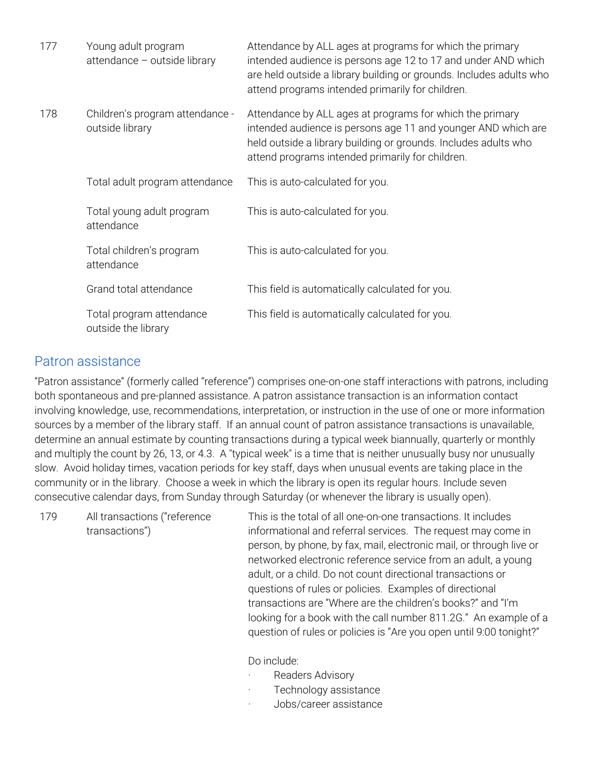| 177 | Young adult program<br>attendance - outside library | Attendance by ALL ages at programs for which the primary<br>intended audience is persons age 12 to 17 and under AND which<br>are held outside a library building or grounds. Includes adults who<br>attend programs intended primarily for children. |
|-----|-----------------------------------------------------|------------------------------------------------------------------------------------------------------------------------------------------------------------------------------------------------------------------------------------------------------|
| 178 | Children's program attendance -<br>outside library  | Attendance by ALL ages at programs for which the primary<br>intended audience is persons age 11 and younger AND which are<br>held outside a library building or grounds. Includes adults who<br>attend programs intended primarily for children.     |
|     | Total adult program attendance                      | This is auto-calculated for you.                                                                                                                                                                                                                     |
|     | Total young adult program<br>attendance             | This is auto-calculated for you.                                                                                                                                                                                                                     |
|     | Total children's program<br>attendance              | This is auto-calculated for you.                                                                                                                                                                                                                     |
|     | Grand total attendance                              | This field is automatically calculated for you.                                                                                                                                                                                                      |
|     | Total program attendance<br>outside the library     | This field is automatically calculated for you.                                                                                                                                                                                                      |

#### Patron assistance

"Patron assistance" (formerly called "reference") comprises one-on-one staff interactions with patrons, including both spontaneous and pre-planned assistance. A patron assistance transaction is an information contact involving knowledge, use, recommendations, interpretation, or instruction in the use of one or more information sources by a member of the library staff. If an annual count of patron assistance transactions is unavailable, determine an annual estimate by counting transactions during a typical week biannually, quarterly or monthly and multiply the count by 26, 13, or 4.3. A "typical week" is a time that is neither unusually busy nor unusually slow. Avoid holiday times, vacation periods for key staff, days when unusual events are taking place in the community or in the library. Choose a week in which the library is open its regular hours. Include seven consecutive calendar days, from Sunday through Saturday (or whenever the library is usually open).

| 179 | All transactions ("reference |
|-----|------------------------------|
|     | transactions")               |

This is the total of all one-on-one transactions. It includes informational and referral services. The request may come in person, by phone, by fax, mail, electronic mail, or through live or networked electronic reference service from an adult, a young adult, or a child. Do not count directional transactions or questions of rules or policies. Examples of directional transactions are "Where are the children's books?" and "I'm looking for a book with the call number 811.2G." An example of a question of rules or policies is "Are you open until 9:00 tonight?"

Do include:

- Readers Advisory
- Technology assistance
- · Jobs/career assistance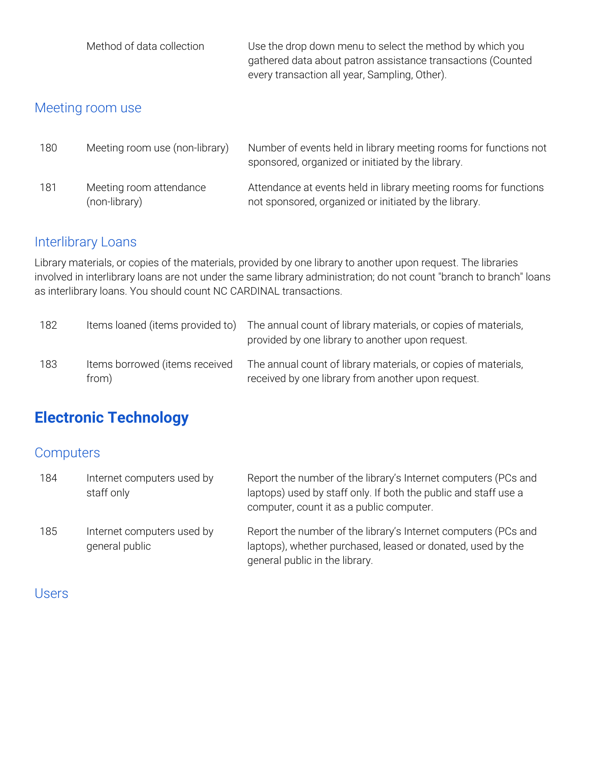| Method of data collection | Use the drop down menu to select the method by which you    |
|---------------------------|-------------------------------------------------------------|
|                           | gathered data about patron assistance transactions (Counted |
|                           | every transaction all year, Sampling, Other).               |

## Meeting room use

| 180 | Meeting room use (non-library)           | Number of events held in library meeting rooms for functions not<br>sponsored, organized or initiated by the library.     |
|-----|------------------------------------------|---------------------------------------------------------------------------------------------------------------------------|
| 181 | Meeting room attendance<br>(non-library) | Attendance at events held in library meeting rooms for functions<br>not sponsored, organized or initiated by the library. |

#### Interlibrary Loans

Library materials, or copies of the materials, provided by one library to another upon request. The libraries involved in interlibrary loans are not under the same library administration; do not count "branch to branch" loans as interlibrary loans. You should count NC CARDINAL transactions.

| 182 | Items loaned (items provided to)        | The annual count of library materials, or copies of materials,<br>provided by one library to another upon request.   |
|-----|-----------------------------------------|----------------------------------------------------------------------------------------------------------------------|
| 183 | Items borrowed (items received<br>from) | The annual count of library materials, or copies of materials,<br>received by one library from another upon request. |

# **Electronic Technology**

#### **Computers**

| 184 | Internet computers used by<br>staff only     | Report the number of the library's Internet computers (PCs and<br>laptops) used by staff only. If both the public and staff use a<br>computer, count it as a public computer. |
|-----|----------------------------------------------|-------------------------------------------------------------------------------------------------------------------------------------------------------------------------------|
| 185 | Internet computers used by<br>general public | Report the number of the library's Internet computers (PCs and<br>laptops), whether purchased, leased or donated, used by the<br>general public in the library.               |

#### Users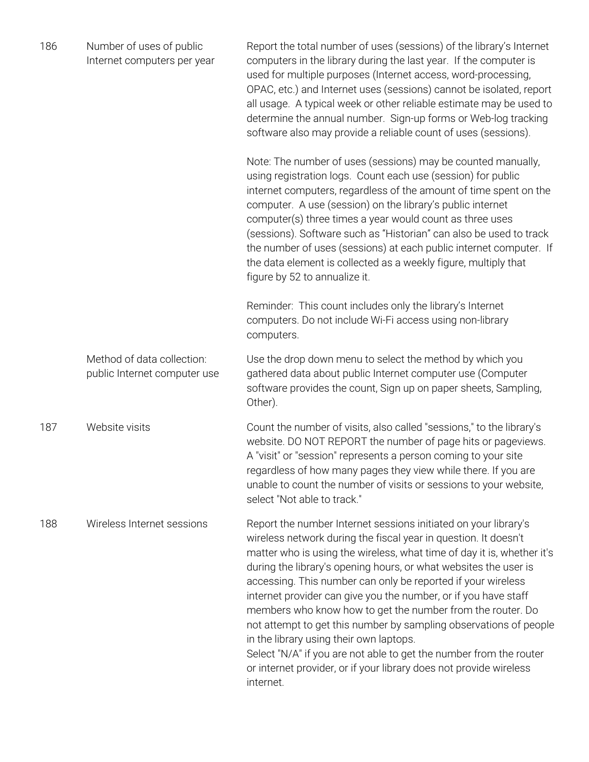| 186 | Number of uses of public<br>Internet computers per year    | Report the total number of uses (sessions) of the library's Internet<br>computers in the library during the last year. If the computer is<br>used for multiple purposes (Internet access, word-processing,<br>OPAC, etc.) and Internet uses (sessions) cannot be isolated, report<br>all usage. A typical week or other reliable estimate may be used to<br>determine the annual number. Sign-up forms or Web-log tracking<br>software also may provide a reliable count of uses (sessions).                                                                                                                                                                                                                                                               |
|-----|------------------------------------------------------------|------------------------------------------------------------------------------------------------------------------------------------------------------------------------------------------------------------------------------------------------------------------------------------------------------------------------------------------------------------------------------------------------------------------------------------------------------------------------------------------------------------------------------------------------------------------------------------------------------------------------------------------------------------------------------------------------------------------------------------------------------------|
|     |                                                            | Note: The number of uses (sessions) may be counted manually,<br>using registration logs. Count each use (session) for public<br>internet computers, regardless of the amount of time spent on the<br>computer. A use (session) on the library's public internet<br>computer(s) three times a year would count as three uses<br>(sessions). Software such as "Historian" can also be used to track<br>the number of uses (sessions) at each public internet computer. If<br>the data element is collected as a weekly figure, multiply that<br>figure by 52 to annualize it.                                                                                                                                                                                |
|     |                                                            | Reminder: This count includes only the library's Internet<br>computers. Do not include Wi-Fi access using non-library<br>computers.                                                                                                                                                                                                                                                                                                                                                                                                                                                                                                                                                                                                                        |
|     | Method of data collection:<br>public Internet computer use | Use the drop down menu to select the method by which you<br>gathered data about public Internet computer use (Computer<br>software provides the count, Sign up on paper sheets, Sampling,<br>Other).                                                                                                                                                                                                                                                                                                                                                                                                                                                                                                                                                       |
| 187 | Website visits                                             | Count the number of visits, also called "sessions," to the library's<br>website. DO NOT REPORT the number of page hits or pageviews.<br>A "visit" or "session" represents a person coming to your site<br>regardless of how many pages they view while there. If you are<br>unable to count the number of visits or sessions to your website,<br>select "Not able to track."                                                                                                                                                                                                                                                                                                                                                                               |
| 188 | Wireless Internet sessions                                 | Report the number Internet sessions initiated on your library's<br>wireless network during the fiscal year in question. It doesn't<br>matter who is using the wireless, what time of day it is, whether it's<br>during the library's opening hours, or what websites the user is<br>accessing. This number can only be reported if your wireless<br>internet provider can give you the number, or if you have staff<br>members who know how to get the number from the router. Do<br>not attempt to get this number by sampling observations of people<br>in the library using their own laptops.<br>Select "N/A" if you are not able to get the number from the router<br>or internet provider, or if your library does not provide wireless<br>internet. |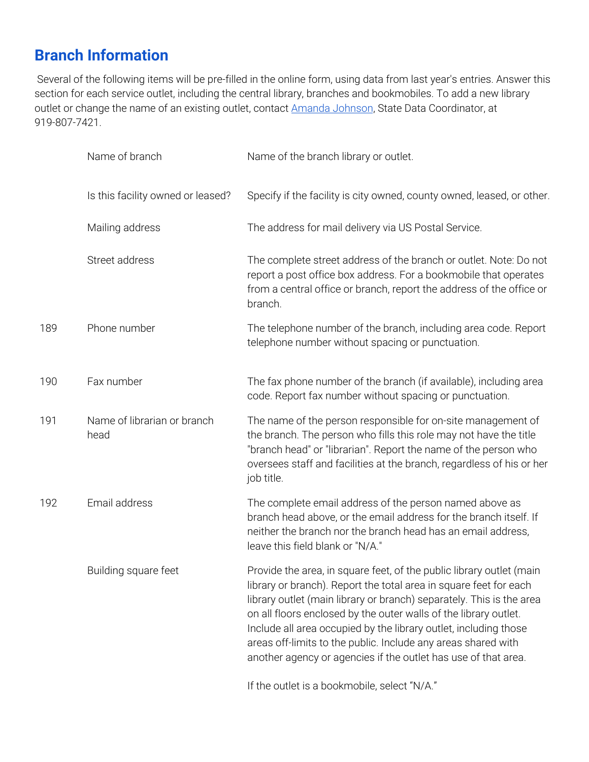## **Branch Information**

Several of the following items will be pre-filled in the online form, using data from last year's entries. Answer this section for each service outlet, including the central library, branches and bookmobiles. To add a new library outlet or change the name of an existing outlet, contact Amanda [Johnson](mailto:amanda.johnson@ncdcr.gov), State Data Coordinator, at 919-807-7421.

|     | Name of branch                      | Name of the branch library or outlet.                                                                                                                                                                                                                                                                                                                                                                                                                                                        |
|-----|-------------------------------------|----------------------------------------------------------------------------------------------------------------------------------------------------------------------------------------------------------------------------------------------------------------------------------------------------------------------------------------------------------------------------------------------------------------------------------------------------------------------------------------------|
|     | Is this facility owned or leased?   | Specify if the facility is city owned, county owned, leased, or other.                                                                                                                                                                                                                                                                                                                                                                                                                       |
|     | Mailing address                     | The address for mail delivery via US Postal Service.                                                                                                                                                                                                                                                                                                                                                                                                                                         |
|     | Street address                      | The complete street address of the branch or outlet. Note: Do not<br>report a post office box address. For a bookmobile that operates<br>from a central office or branch, report the address of the office or<br>branch.                                                                                                                                                                                                                                                                     |
| 189 | Phone number                        | The telephone number of the branch, including area code. Report<br>telephone number without spacing or punctuation.                                                                                                                                                                                                                                                                                                                                                                          |
| 190 | Fax number                          | The fax phone number of the branch (if available), including area<br>code. Report fax number without spacing or punctuation.                                                                                                                                                                                                                                                                                                                                                                 |
| 191 | Name of librarian or branch<br>head | The name of the person responsible for on-site management of<br>the branch. The person who fills this role may not have the title<br>"branch head" or "librarian". Report the name of the person who<br>oversees staff and facilities at the branch, regardless of his or her<br>job title.                                                                                                                                                                                                  |
| 192 | Email address                       | The complete email address of the person named above as<br>branch head above, or the email address for the branch itself. If<br>neither the branch nor the branch head has an email address,<br>leave this field blank or "N/A."                                                                                                                                                                                                                                                             |
|     | Building square feet                | Provide the area, in square feet, of the public library outlet (main<br>library or branch). Report the total area in square feet for each<br>library outlet (main library or branch) separately. This is the area<br>on all floors enclosed by the outer walls of the library outlet.<br>Include all area occupied by the library outlet, including those<br>areas off-limits to the public. Include any areas shared with<br>another agency or agencies if the outlet has use of that area. |

If the outlet is a bookmobile, select "N/A."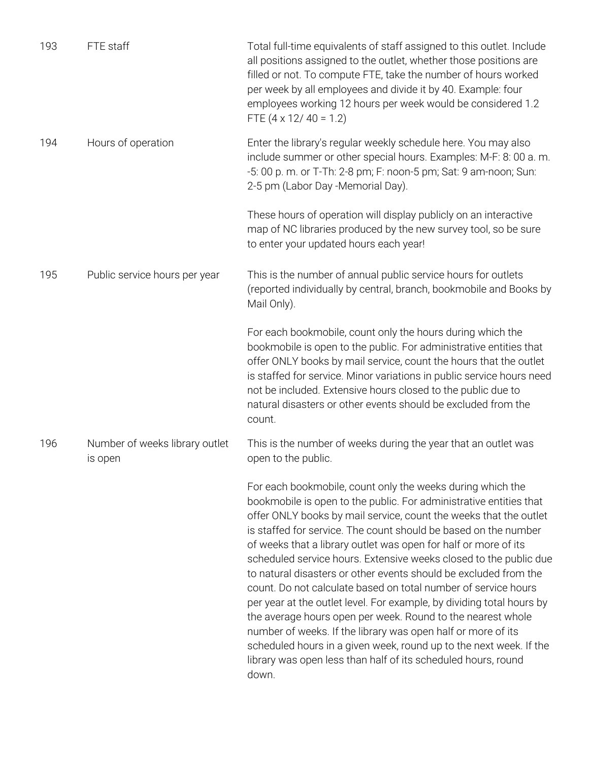| 193 | FTE staff                                 | Total full-time equivalents of staff assigned to this outlet. Include<br>all positions assigned to the outlet, whether those positions are<br>filled or not. To compute FTE, take the number of hours worked<br>per week by all employees and divide it by 40. Example: four<br>employees working 12 hours per week would be considered 1.2<br>FTE $(4 \times 12/40 = 1.2)$                                                                                                                                                                                                                                                                                                                                                                                                                                                                                                                                    |
|-----|-------------------------------------------|----------------------------------------------------------------------------------------------------------------------------------------------------------------------------------------------------------------------------------------------------------------------------------------------------------------------------------------------------------------------------------------------------------------------------------------------------------------------------------------------------------------------------------------------------------------------------------------------------------------------------------------------------------------------------------------------------------------------------------------------------------------------------------------------------------------------------------------------------------------------------------------------------------------|
| 194 | Hours of operation                        | Enter the library's regular weekly schedule here. You may also<br>include summer or other special hours. Examples: M-F: 8: 00 a.m.<br>-5: 00 p. m. or T-Th: 2-8 pm; F: noon-5 pm; Sat: 9 am-noon; Sun:<br>2-5 pm (Labor Day -Memorial Day).                                                                                                                                                                                                                                                                                                                                                                                                                                                                                                                                                                                                                                                                    |
|     |                                           | These hours of operation will display publicly on an interactive<br>map of NC libraries produced by the new survey tool, so be sure<br>to enter your updated hours each year!                                                                                                                                                                                                                                                                                                                                                                                                                                                                                                                                                                                                                                                                                                                                  |
| 195 | Public service hours per year             | This is the number of annual public service hours for outlets<br>(reported individually by central, branch, bookmobile and Books by<br>Mail Only).                                                                                                                                                                                                                                                                                                                                                                                                                                                                                                                                                                                                                                                                                                                                                             |
|     |                                           | For each bookmobile, count only the hours during which the<br>bookmobile is open to the public. For administrative entities that<br>offer ONLY books by mail service, count the hours that the outlet<br>is staffed for service. Minor variations in public service hours need<br>not be included. Extensive hours closed to the public due to<br>natural disasters or other events should be excluded from the<br>count.                                                                                                                                                                                                                                                                                                                                                                                                                                                                                      |
| 196 | Number of weeks library outlet<br>is open | This is the number of weeks during the year that an outlet was<br>open to the public.                                                                                                                                                                                                                                                                                                                                                                                                                                                                                                                                                                                                                                                                                                                                                                                                                          |
|     |                                           | For each bookmobile, count only the weeks during which the<br>bookmobile is open to the public. For administrative entities that<br>offer ONLY books by mail service, count the weeks that the outlet<br>is staffed for service. The count should be based on the number<br>of weeks that a library outlet was open for half or more of its<br>scheduled service hours. Extensive weeks closed to the public due<br>to natural disasters or other events should be excluded from the<br>count. Do not calculate based on total number of service hours<br>per year at the outlet level. For example, by dividing total hours by<br>the average hours open per week. Round to the nearest whole<br>number of weeks. If the library was open half or more of its<br>scheduled hours in a given week, round up to the next week. If the<br>library was open less than half of its scheduled hours, round<br>down. |